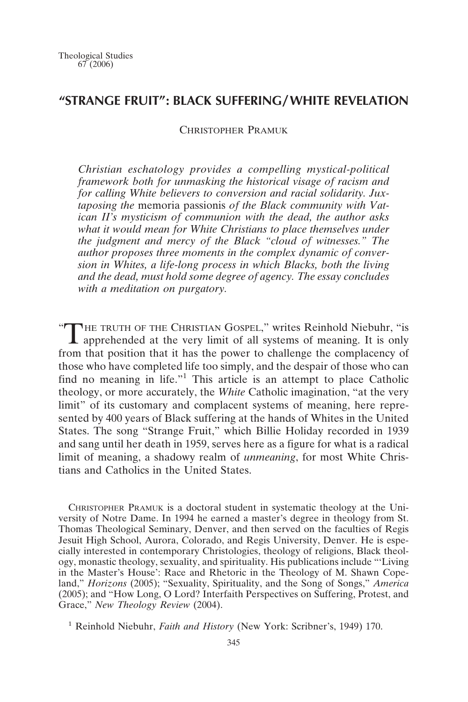## **"STRANGE FRUIT": BLACK SUFFERING/ WHITE REVELATION**

CHRISTOPHER PRAMUK

*Christian eschatology provides a compelling mystical-political framework both for unmasking the historical visage of racism and for calling White believers to conversion and racial solidarity. Juxtaposing the* memoria passionis *of the Black community with Vatican II's mysticism of communion with the dead, the author asks what it would mean for White Christians to place themselves under the judgment and mercy of the Black "cloud of witnesses." The author proposes three moments in the complex dynamic of conversion in Whites, a life-long process in which Blacks, both the living and the dead, must hold some degree of agency. The essay concludes with a meditation on purgatory.*

 $\ddot{\phantom{0}}$ THE TRUTH OF THE CHRISTIAN GOSPEL," writes Reinhold Niebuhr, "is<br>apprehended at the very limit of all systems of meaning. It is only from that position that it has the power to challenge the complacency of those who have completed life too simply, and the despair of those who can find no meaning in life."<sup>1</sup> This article is an attempt to place Catholic theology, or more accurately, the *White* Catholic imagination, "at the very limit" of its customary and complacent systems of meaning, here represented by 400 years of Black suffering at the hands of Whites in the United States. The song "Strange Fruit," which Billie Holiday recorded in 1939 and sang until her death in 1959, serves here as a figure for what is a radical limit of meaning, a shadowy realm of *unmeaning*, for most White Christians and Catholics in the United States.

CHRISTOPHER PRAMUK is a doctoral student in systematic theology at the University of Notre Dame. In 1994 he earned a master's degree in theology from St. Thomas Theological Seminary, Denver, and then served on the faculties of Regis Jesuit High School, Aurora, Colorado, and Regis University, Denver. He is especially interested in contemporary Christologies, theology of religions, Black theology, monastic theology, sexuality, and spirituality. His publications include "'Living in the Master's House': Race and Rhetoric in the Theology of M. Shawn Copeland," *Horizons* (2005); "Sexuality, Spirituality, and the Song of Songs," *America* (2005); and "How Long, O Lord? Interfaith Perspectives on Suffering, Protest, and Grace," *New Theology Review* (2004).

<sup>1</sup> Reinhold Niebuhr, *Faith and History* (New York: Scribner's, 1949) 170.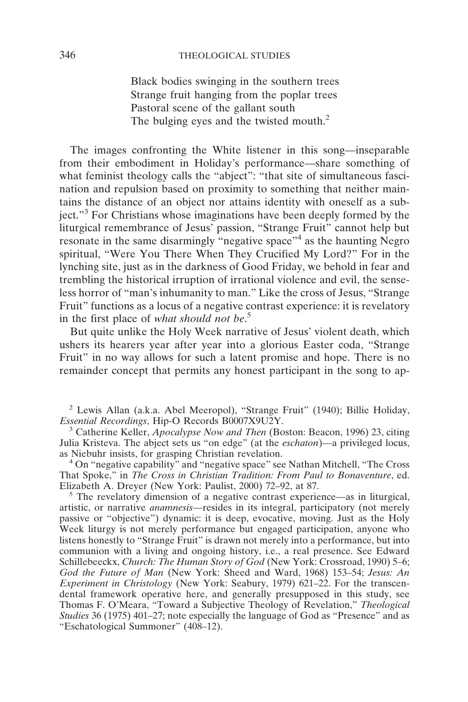Black bodies swinging in the southern trees Strange fruit hanging from the poplar trees Pastoral scene of the gallant south The bulging eyes and the twisted mouth.<sup>2</sup>

The images confronting the White listener in this song—inseparable from their embodiment in Holiday's performance—share something of what feminist theology calls the "abject": "that site of simultaneous fascination and repulsion based on proximity to something that neither maintains the distance of an object nor attains identity with oneself as a subject."3 For Christians whose imaginations have been deeply formed by the liturgical remembrance of Jesus' passion, "Strange Fruit" cannot help but resonate in the same disarmingly "negative space"<sup>4</sup> as the haunting Negro spiritual, "Were You There When They Crucified My Lord?" For in the lynching site, just as in the darkness of Good Friday, we behold in fear and trembling the historical irruption of irrational violence and evil, the senseless horror of "man's inhumanity to man." Like the cross of Jesus, "Strange Fruit" functions as a locus of a negative contrast experience: it is revelatory in the first place of *what should not be*. 5

But quite unlike the Holy Week narrative of Jesus' violent death, which ushers its hearers year after year into a glorious Easter coda, "Strange Fruit" in no way allows for such a latent promise and hope. There is no remainder concept that permits any honest participant in the song to ap-

<sup>2</sup> Lewis Allan (a.k.a. Abel Meeropol), "Strange Fruit" (1940); Billie Holiday, *Essential Recordings*, Hip-O Records B0007X9U2Y.

<sup>3</sup> Catherine Keller, *Apocalypse Now and Then* (Boston: Beacon, 1996) 23, citing Julia Kristeva. The abject sets us "on edge" (at the *eschaton*)—a privileged locus,

 $4$  On "negative capability" and "negative space" see Nathan Mitchell, "The Cross" That Spoke," in *The Cross in Christian Tradition: From Paul to Bonaventure*, ed.

 $<sup>5</sup>$  The revelatory dimension of a negative contrast experience—as in liturgical,</sup> artistic, or narrative *anamnesis*—resides in its integral, participatory (not merely passive or "objective") dynamic: it is deep, evocative, moving. Just as the Holy Week liturgy is not merely performance but engaged participation, anyone who listens honestly to "Strange Fruit" is drawn not merely into a performance, but into communion with a living and ongoing history, i.e., a real presence. See Edward Schillebeeckx, *Church: The Human Story of God* (New York: Crossroad, 1990) 5–6; *God the Future of Man* (New York: Sheed and Ward, 1968) 153–54; *Jesus: An Experiment in Christology* (New York: Seabury, 1979) 621–22. For the transcendental framework operative here, and generally presupposed in this study, see Thomas F. O'Meara, "Toward a Subjective Theology of Revelation," *Theological Studies* 36 (1975) 401–27; note especially the language of God as "Presence" and as "Eschatological Summoner" (408–12).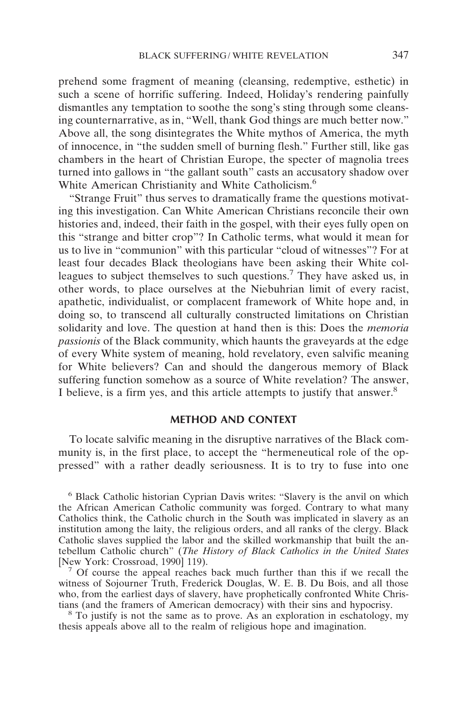prehend some fragment of meaning (cleansing, redemptive, esthetic) in such a scene of horrific suffering. Indeed, Holiday's rendering painfully dismantles any temptation to soothe the song's sting through some cleansing counternarrative, as in, "Well, thank God things are much better now." Above all, the song disintegrates the White mythos of America, the myth of innocence, in "the sudden smell of burning flesh." Further still, like gas chambers in the heart of Christian Europe, the specter of magnolia trees turned into gallows in "the gallant south" casts an accusatory shadow over White American Christianity and White Catholicism.<sup>6</sup>

"Strange Fruit" thus serves to dramatically frame the questions motivating this investigation. Can White American Christians reconcile their own histories and, indeed, their faith in the gospel, with their eyes fully open on this "strange and bitter crop"? In Catholic terms, what would it mean for us to live in "communion" with this particular "cloud of witnesses"? For at least four decades Black theologians have been asking their White colleagues to subject themselves to such questions.<sup>7</sup> They have asked us, in other words, to place ourselves at the Niebuhrian limit of every racist, apathetic, individualist, or complacent framework of White hope and, in doing so, to transcend all culturally constructed limitations on Christian solidarity and love. The question at hand then is this: Does the *memoria passionis* of the Black community, which haunts the graveyards at the edge of every White system of meaning, hold revelatory, even salvific meaning for White believers? Can and should the dangerous memory of Black suffering function somehow as a source of White revelation? The answer, I believe, is a firm yes, and this article attempts to justify that answer.<sup>8</sup>

#### **METHOD AND CONTEXT**

To locate salvific meaning in the disruptive narratives of the Black community is, in the first place, to accept the "hermeneutical role of the oppressed" with a rather deadly seriousness. It is to try to fuse into one

<sup>6</sup> Black Catholic historian Cyprian Davis writes: "Slavery is the anvil on which the African American Catholic community was forged. Contrary to what many Catholics think, the Catholic church in the South was implicated in slavery as an institution among the laity, the religious orders, and all ranks of the clergy. Black Catholic slaves supplied the labor and the skilled workmanship that built the antebellum Catholic church" (*The History of Black Catholics in the United States*

 $\frac{1}{\sqrt{N}}$  Of course the appeal reaches back much further than this if we recall the witness of Sojourner Truth, Frederick Douglas, W. E. B. Du Bois, and all those who, from the earliest days of slavery, have prophetically confronted White Christians (and the framers of American democracy) with their sins and hypocrisy.

 $8$  To justify is not the same as to prove. As an exploration in eschatology, my thesis appeals above all to the realm of religious hope and imagination.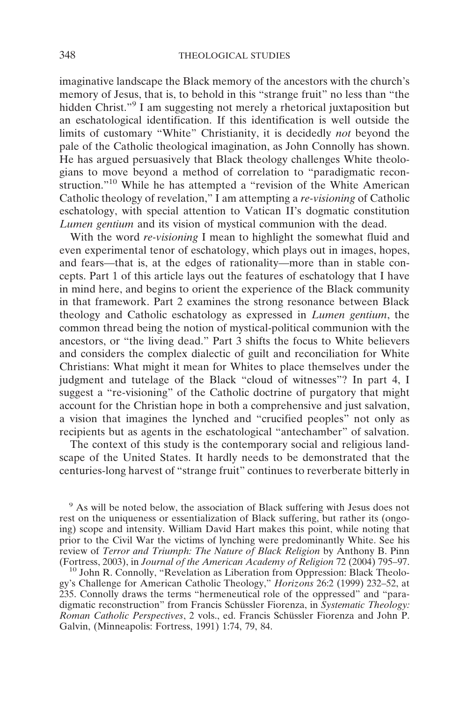imaginative landscape the Black memory of the ancestors with the church's memory of Jesus, that is, to behold in this "strange fruit" no less than "the hidden Christ."<sup>9</sup> I am suggesting not merely a rhetorical juxtaposition but an eschatological identification. If this identification is well outside the limits of customary "White" Christianity, it is decidedly *not* beyond the pale of the Catholic theological imagination, as John Connolly has shown. He has argued persuasively that Black theology challenges White theologians to move beyond a method of correlation to "paradigmatic reconstruction."<sup>10</sup> While he has attempted a "revision of the White American Catholic theology of revelation," I am attempting a *re-visioning* of Catholic eschatology, with special attention to Vatican II's dogmatic constitution *Lumen gentium* and its vision of mystical communion with the dead.

With the word *re-visioning* I mean to highlight the somewhat fluid and even experimental tenor of eschatology, which plays out in images, hopes, and fears—that is, at the edges of rationality—more than in stable concepts. Part 1 of this article lays out the features of eschatology that I have in mind here, and begins to orient the experience of the Black community in that framework. Part 2 examines the strong resonance between Black theology and Catholic eschatology as expressed in *Lumen gentium*, the common thread being the notion of mystical-political communion with the ancestors, or "the living dead." Part 3 shifts the focus to White believers and considers the complex dialectic of guilt and reconciliation for White Christians: What might it mean for Whites to place themselves under the judgment and tutelage of the Black "cloud of witnesses"? In part 4, I suggest a "re-visioning" of the Catholic doctrine of purgatory that might account for the Christian hope in both a comprehensive and just salvation, a vision that imagines the lynched and "crucified peoples" not only as recipients but as agents in the eschatological "antechamber" of salvation.

The context of this study is the contemporary social and religious landscape of the United States. It hardly needs to be demonstrated that the centuries-long harvest of "strange fruit" continues to reverberate bitterly in

<sup>9</sup> As will be noted below, the association of Black suffering with Jesus does not rest on the uniqueness or essentialization of Black suffering, but rather its (ongoing) scope and intensity. William David Hart makes this point, while noting that prior to the Civil War the victims of lynching were predominantly White. See his review of *Terror and Triumph: The Nature of Black Religion* by Anthony B. Pinn

<sup>10</sup> John R. Connolly, "Revelation as Liberation from Oppression: Black Theology's Challenge for American Catholic Theology," *Horizons* 26:2 (1999) 232–52, at 235. Connolly draws the terms "hermeneutical role of the oppressed" and "paradigmatic reconstruction" from Francis Schüssler Fiorenza, in *Systematic Theology: Roman Catholic Perspectives*, 2 vols., ed. Francis Schüssler Fiorenza and John P. Galvin, (Minneapolis: Fortress, 1991) 1:74, 79, 84.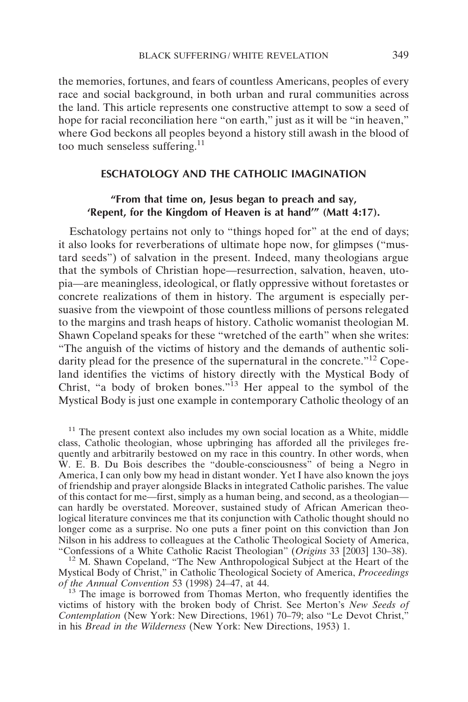the memories, fortunes, and fears of countless Americans, peoples of every race and social background, in both urban and rural communities across the land. This article represents one constructive attempt to sow a seed of hope for racial reconciliation here "on earth," just as it will be "in heaven," where God beckons all peoples beyond a history still awash in the blood of too much senseless suffering.11

#### **ESCHATOLOGY AND THE CATHOLIC IMAGINATION**

### **"From that time on, Jesus began to preach and say, 'Repent, for the Kingdom of Heaven is at hand'" (Matt 4:17).**

Eschatology pertains not only to "things hoped for" at the end of days; it also looks for reverberations of ultimate hope now, for glimpses ("mustard seeds") of salvation in the present. Indeed, many theologians argue that the symbols of Christian hope—resurrection, salvation, heaven, utopia—are meaningless, ideological, or flatly oppressive without foretastes or concrete realizations of them in history. The argument is especially persuasive from the viewpoint of those countless millions of persons relegated to the margins and trash heaps of history. Catholic womanist theologian M. Shawn Copeland speaks for these "wretched of the earth" when she writes: "The anguish of the victims of history and the demands of authentic solidarity plead for the presence of the supernatural in the concrete."12 Copeland identifies the victims of history directly with the Mystical Body of Christ, "a body of broken bones."13 Her appeal to the symbol of the Mystical Body is just one example in contemporary Catholic theology of an

 $11$ <sup>11</sup> The present context also includes my own social location as a White, middle class, Catholic theologian, whose upbringing has afforded all the privileges frequently and arbitrarily bestowed on my race in this country. In other words, when W. E. B. Du Bois describes the "double-consciousness" of being a Negro in America, I can only bow my head in distant wonder. Yet I have also known the joys of friendship and prayer alongside Blacks in integrated Catholic parishes. The value of this contact for me—first, simply as a human being, and second, as a theologian can hardly be overstated. Moreover, sustained study of African American theological literature convinces me that its conjunction with Catholic thought should no longer come as a surprise. No one puts a finer point on this conviction than Jon Nilson in his address to colleagues at the Catholic Theological Society of America, "Confessions of a White Catholic Racist Theologian" (*Origins* 33 [2003] 130–38).

<sup>12</sup> M. Shawn Copeland, "The New Anthropological Subject at the Heart of the Mystical Body of Christ," in Catholic Theological Society of America, *Proceedings*

<sup>13</sup> The image is borrowed from Thomas Merton, who frequently identifies the victims of history with the broken body of Christ. See Merton's *New Seeds of Contemplation* (New York: New Directions, 1961) 70–79; also "Le Devot Christ," in his *Bread in the Wilderness* (New York: New Directions, 1953) 1.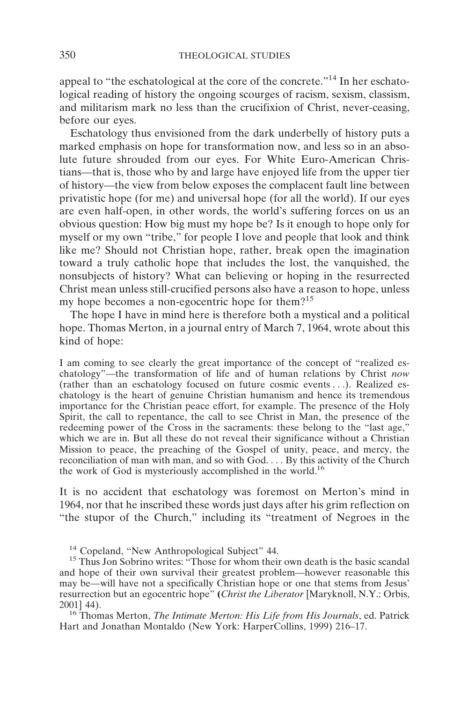appeal to "the eschatological at the core of the concrete."<sup>14</sup> In her eschatological reading of history the ongoing scourges of racism, sexism, classism, and militarism mark no less than the crucifixion of Christ, never-ceasing, before our eyes.

Eschatology thus envisioned from the dark underbelly of history puts a marked emphasis on hope for transformation now, and less so in an absolute future shrouded from our eyes. For White Euro-American Christians—that is, those who by and large have enjoyed life from the upper tier of history—the view from below exposes the complacent fault line between privatistic hope (for me) and universal hope (for all the world). If our eyes are even half-open, in other words, the world's suffering forces on us an obvious question: How big must my hope be? Is it enough to hope only for myself or my own "tribe," for people I love and people that look and think like me? Should not Christian hope, rather, break open the imagination toward a truly catholic hope that includes the lost, the vanquished, the nonsubjects of history? What can believing or hoping in the resurrected Christ mean unless still-crucified persons also have a reason to hope, unless my hope becomes a non-egocentric hope for them?<sup>15</sup>

The hope I have in mind here is therefore both a mystical and a political hope. Thomas Merton, in a journal entry of March 7, 1964, wrote about this kind of hope:

I am coming to see clearly the great importance of the concept of "realized eschatology"—the transformation of life and of human relations by Christ *now* (rather than an eschatology focused on future cosmic events . . .). Realized eschatology is the heart of genuine Christian humanism and hence its tremendous importance for the Christian peace effort, for example. The presence of the Holy Spirit, the call to repentance, the call to see Christ in Man, the presence of the redeeming power of the Cross in the sacraments: these belong to the "last age," which we are in. But all these do not reveal their significance without a Christian Mission to peace, the preaching of the Gospel of unity, peace, and mercy, the reconciliation of man with man, and so with God. . . . By this activity of the Church the work of God is mysteriously accomplished in the world.<sup>16</sup>

It is no accident that eschatology was foremost on Merton's mind in 1964, nor that he inscribed these words just days after his grim reflection on "the stupor of the Church," including its "treatment of Negroes in the

<sup>14</sup> Copeland, "New Anthropological Subject" 44.<br><sup>15</sup> Thus Jon Sobrino writes: "Those for whom their own death is the basic scandal and hope of their own survival their greatest problem—however reasonable this may be—will have not a specifically Christian hope or one that stems from Jesus' resurrection but an egocentric hope" **(***Christ the Liberator* [Maryknoll, N.Y.: Orbis,

<sup>16</sup> Thomas Merton, *The Intimate Merton: His Life from His Journals*, ed. Patrick Hart and Jonathan Montaldo (New York: HarperCollins, 1999) 216–17.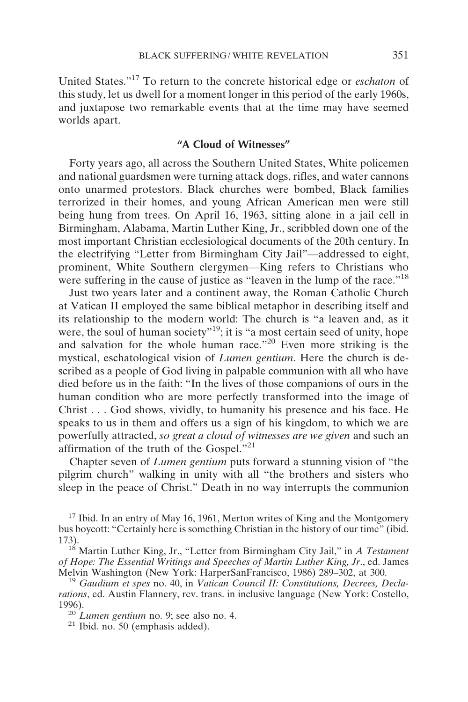United States."17 To return to the concrete historical edge or *eschaton* of this study, let us dwell for a moment longer in this period of the early 1960s, and juxtapose two remarkable events that at the time may have seemed worlds apart.

### **"A Cloud of Witnesses"**

Forty years ago, all across the Southern United States, White policemen and national guardsmen were turning attack dogs, rifles, and water cannons onto unarmed protestors. Black churches were bombed, Black families terrorized in their homes, and young African American men were still being hung from trees. On April 16, 1963, sitting alone in a jail cell in Birmingham, Alabama, Martin Luther King, Jr., scribbled down one of the most important Christian ecclesiological documents of the 20th century. In the electrifying "Letter from Birmingham City Jail"—addressed to eight, prominent, White Southern clergymen—King refers to Christians who were suffering in the cause of justice as "leaven in the lump of the race."<sup>18</sup>

Just two years later and a continent away, the Roman Catholic Church at Vatican II employed the same biblical metaphor in describing itself and its relationship to the modern world: The church is "a leaven and, as it were, the soul of human society<sup>"19</sup>; it is "a most certain seed of unity, hope and salvation for the whole human race."<sup>20</sup> Even more striking is the mystical, eschatological vision of *Lumen gentium*. Here the church is described as a people of God living in palpable communion with all who have died before us in the faith: "In the lives of those companions of ours in the human condition who are more perfectly transformed into the image of Christ . . . God shows, vividly, to humanity his presence and his face. He speaks to us in them and offers us a sign of his kingdom, to which we are powerfully attracted, *so great a cloud of witnesses are we given* and such an affirmation of the truth of the Gospel."<sup>21</sup>

Chapter seven of *Lumen gentium* puts forward a stunning vision of "the pilgrim church" walking in unity with all "the brothers and sisters who sleep in the peace of Christ." Death in no way interrupts the communion

 $17$  Ibid. In an entry of May 16, 1961, Merton writes of King and the Montgomery bus boycott: "Certainly here is something Christian in the history of our time" (ibid. 173). <sup>18</sup> Martin Luther King, Jr., "Letter from Birmingham City Jail," in *A Testament*

*of Hope: The Essential Writings and Speeches of Martin Luther King, Jr.*, ed. James<br>Melvin Washington (New York: HarperSanFrancisco, 1986) 289–302, at 300.

<sup>19</sup> Gaudium et spes no. 40, in Vatican Council II: Constitutions, Decrees, Decla*rations*, ed. Austin Flannery, rev. trans. in inclusive language (New York: Costello,

 $\frac{20}{21}$ *Lumen gentium* no. 9; see also no. 4. <sup>21</sup> Ibid. no. 50 (emphasis added).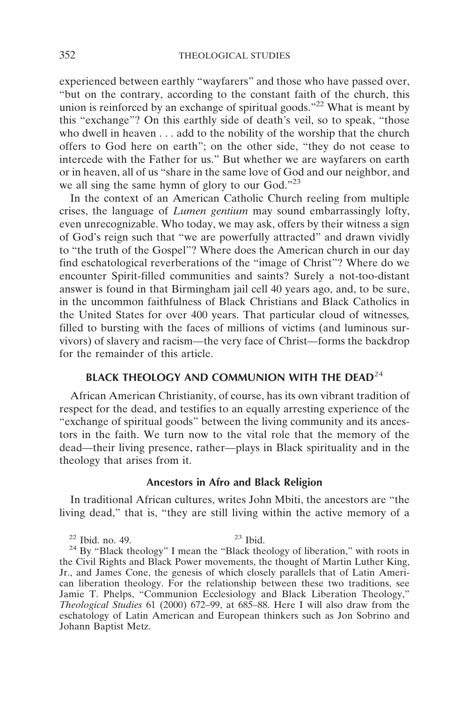experienced between earthly "wayfarers" and those who have passed over, "but on the contrary, according to the constant faith of the church, this union is reinforced by an exchange of spiritual goods."<sup>22</sup> What is meant by this "exchange"? On this earthly side of death's veil, so to speak, "those who dwell in heaven . . . add to the nobility of the worship that the church offers to God here on earth"; on the other side, "they do not cease to intercede with the Father for us." But whether we are wayfarers on earth or in heaven, all of us "share in the same love of God and our neighbor, and we all sing the same hymn of glory to our God."<sup>23</sup>

In the context of an American Catholic Church reeling from multiple crises, the language of *Lumen gentium* may sound embarrassingly lofty, even unrecognizable. Who today, we may ask, offers by their witness a sign of God's reign such that "we are powerfully attracted" and drawn vividly to "the truth of the Gospel"? Where does the American church in our day find eschatological reverberations of the "image of Christ"? Where do we encounter Spirit-filled communities and saints? Surely a not-too-distant answer is found in that Birmingham jail cell 40 years ago, and, to be sure, in the uncommon faithfulness of Black Christians and Black Catholics in the United States for over 400 years. That particular cloud of witnesses*,* filled to bursting with the faces of millions of victims (and luminous survivors) of slavery and racism—the very face of Christ*—*forms the backdrop for the remainder of this article.

## **BLACK THEOLOGY AND COMMUNION WITH THE DEAD**<sup>24</sup>

African American Christianity, of course, has its own vibrant tradition of respect for the dead, and testifies to an equally arresting experience of the "exchange of spiritual goods" between the living community and its ancestors in the faith. We turn now to the vital role that the memory of the dead—their living presence, rather—plays in Black spirituality and in the theology that arises from it.

### **Ancestors in Afro and Black Religion**

In traditional African cultures, writes John Mbiti, the ancestors are "the living dead," that is, "they are still living within the active memory of a

<sup>22</sup> Ibid. no. 49. <sup>23</sup> Ibid. <sup>23</sup> Ibid. <sup>24</sup> By "Black theology" I mean the "Black theology of liberation," with roots in the Civil Rights and Black Power movements, the thought of Martin Luther King, Jr., and James Cone, the genesis of which closely parallels that of Latin American liberation theology. For the relationship between these two traditions, see Jamie T. Phelps, "Communion Ecclesiology and Black Liberation Theology," *Theological Studies* 61 (2000) 672–99, at 685–88. Here I will also draw from the eschatology of Latin American and European thinkers such as Jon Sobrino and Johann Baptist Metz.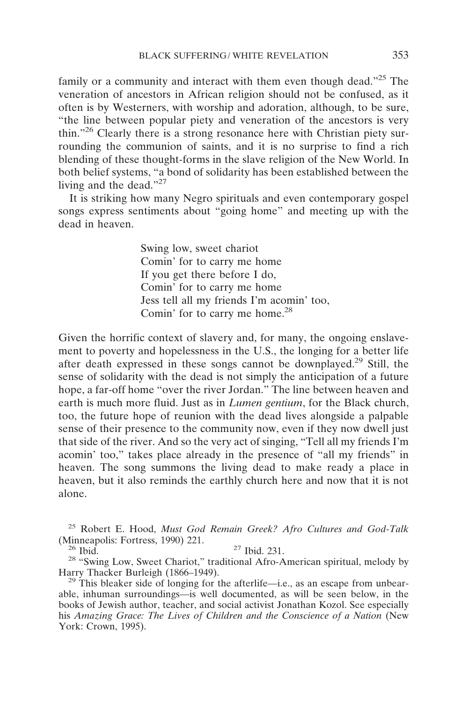family or a community and interact with them even though dead."<sup>25</sup> The veneration of ancestors in African religion should not be confused, as it often is by Westerners, with worship and adoration, although, to be sure, "the line between popular piety and veneration of the ancestors is very thin."<sup>26</sup> Clearly there is a strong resonance here with Christian piety surrounding the communion of saints, and it is no surprise to find a rich blending of these thought-forms in the slave religion of the New World. In both belief systems, "a bond of solidarity has been established between the living and the dead."<sup>27</sup>

It is striking how many Negro spirituals and even contemporary gospel songs express sentiments about "going home" and meeting up with the dead in heaven.

> Swing low, sweet chariot Comin' for to carry me home If you get there before I do, Comin' for to carry me home Jess tell all my friends I'm acomin' too, Comin' for to carry me home.<sup>28</sup>

Given the horrific context of slavery and, for many, the ongoing enslavement to poverty and hopelessness in the U.S., the longing for a better life after death expressed in these songs cannot be downplayed.29 Still, the sense of solidarity with the dead is not simply the anticipation of a future hope, a far-off home "over the river Jordan." The line between heaven and earth is much more fluid. Just as in *Lumen gentium*, for the Black church, too, the future hope of reunion with the dead lives alongside a palpable sense of their presence to the community now, even if they now dwell just that side of the river. And so the very act of singing, "Tell all my friends I'm acomin' too," takes place already in the presence of "all my friends" in heaven. The song summons the living dead to make ready a place in heaven, but it also reminds the earthly church here and now that it is not alone.

<sup>25</sup> Robert E. Hood, *Must God Remain Greek? Afro Cultures and God-Talk*

(Minneapolis: Fortress, 1990) 221.  $^{27}$  Ibid. 231.  $^{28}$  "Swing Low, Sweet Chariot," traditional Afro-American spiritual, melody by Harry Thacker Burleigh (1866–1949).

 $^{29}$  This bleaker side of longing for the afterlife—i.e., as an escape from unbearable, inhuman surroundings—is well documented, as will be seen below, in the books of Jewish author, teacher, and social activist Jonathan Kozol. See especially his *Amazing Grace: The Lives of Children and the Conscience of a Nation* (New York: Crown, 1995).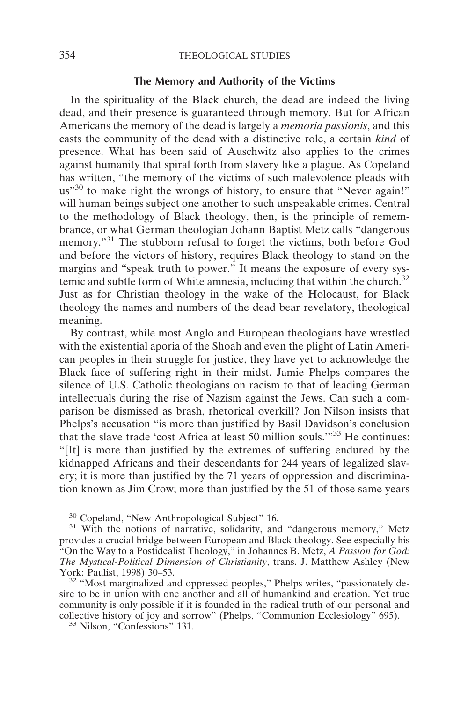#### **The Memory and Authority of the Victims**

In the spirituality of the Black church, the dead are indeed the living dead, and their presence is guaranteed through memory. But for African Americans the memory of the dead is largely a *memoria passionis*, and this casts the community of the dead with a distinctive role, a certain *kind* of presence. What has been said of Auschwitz also applies to the crimes against humanity that spiral forth from slavery like a plague. As Copeland has written, "the memory of the victims of such malevolence pleads with us<sup>30</sup> to make right the wrongs of history, to ensure that "Never again!" will human beings subject one another to such unspeakable crimes. Central to the methodology of Black theology, then, is the principle of remembrance, or what German theologian Johann Baptist Metz calls "dangerous memory."<sup>31</sup> The stubborn refusal to forget the victims, both before God and before the victors of history, requires Black theology to stand on the margins and "speak truth to power." It means the exposure of every systemic and subtle form of White amnesia, including that within the church.<sup>32</sup> Just as for Christian theology in the wake of the Holocaust, for Black theology the names and numbers of the dead bear revelatory, theological meaning.

By contrast, while most Anglo and European theologians have wrestled with the existential aporia of the Shoah and even the plight of Latin American peoples in their struggle for justice, they have yet to acknowledge the Black face of suffering right in their midst. Jamie Phelps compares the silence of U.S. Catholic theologians on racism to that of leading German intellectuals during the rise of Nazism against the Jews. Can such a comparison be dismissed as brash, rhetorical overkill? Jon Nilson insists that Phelps's accusation "is more than justified by Basil Davidson's conclusion that the slave trade 'cost Africa at least 50 million souls.'"<sup>33</sup> He continues: "[It] is more than justified by the extremes of suffering endured by the kidnapped Africans and their descendants for 244 years of legalized slavery; it is more than justified by the 71 years of oppression and discrimination known as Jim Crow; more than justified by the 51 of those same years

 $30$  Copeland, "New Anthropological Subject" 16.<br> $31$  With the notions of narrative, solidarity, and "dangerous memory," Metz provides a crucial bridge between European and Black theology. See especially his "On the Way to a Postidealist Theology," in Johannes B. Metz, *A Passion for God: The Mystical-Political Dimension of Christianity*, trans. J. Matthew Ashley (New York: Paulist, 1998) 30–53.<br><sup>32</sup> "Most marginalized and oppressed peoples," Phelps writes, "passionately de-

sire to be in union with one another and all of humankind and creation. Yet true community is only possible if it is founded in the radical truth of our personal and collective history of joy and sorrow" (Phelps, "Communion Ecclesiology" 695). <sup>33</sup> Nilson, "Confessions" 131.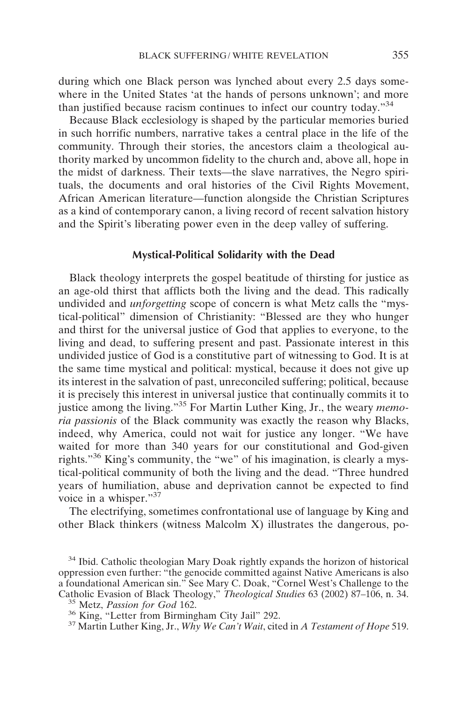during which one Black person was lynched about every 2.5 days somewhere in the United States 'at the hands of persons unknown'; and more than justified because racism continues to infect our country today."<sup>34</sup>

Because Black ecclesiology is shaped by the particular memories buried in such horrific numbers, narrative takes a central place in the life of the community. Through their stories, the ancestors claim a theological authority marked by uncommon fidelity to the church and, above all, hope in the midst of darkness. Their texts—the slave narratives, the Negro spirituals, the documents and oral histories of the Civil Rights Movement, African American literature—function alongside the Christian Scriptures as a kind of contemporary canon, a living record of recent salvation history and the Spirit's liberating power even in the deep valley of suffering.

#### **Mystical-Political Solidarity with the Dead**

Black theology interprets the gospel beatitude of thirsting for justice as an age-old thirst that afflicts both the living and the dead. This radically undivided and *unforgetting* scope of concern is what Metz calls the "mystical-political" dimension of Christianity: "Blessed are they who hunger and thirst for the universal justice of God that applies to everyone, to the living and dead, to suffering present and past. Passionate interest in this undivided justice of God is a constitutive part of witnessing to God. It is at the same time mystical and political: mystical, because it does not give up its interest in the salvation of past, unreconciled suffering; political, because it is precisely this interest in universal justice that continually commits it to justice among the living."35 For Martin Luther King, Jr., the weary *memoria passionis* of the Black community was exactly the reason why Blacks, indeed, why America, could not wait for justice any longer. "We have waited for more than 340 years for our constitutional and God-given rights."<sup>36</sup> King's community, the "we" of his imagination, is clearly a mystical-political community of both the living and the dead. "Three hundred years of humiliation, abuse and deprivation cannot be expected to find voice in a whisper."<sup>37</sup>

The electrifying, sometimes confrontational use of language by King and other Black thinkers (witness Malcolm X) illustrates the dangerous, po-

<sup>34</sup> Ibid. Catholic theologian Mary Doak rightly expands the horizon of historical oppression even further: "the genocide committed against Native Americans is also a foundational American sin." See Mary C. Doak, "Cornel West's Challenge to the Catholic Evasion of Black Theology," *Theological Studies* 63 (2002) 87-106, n. 34.

<sup>&</sup>lt;sup>35</sup> Metz, *Passion for God* 162.<br><sup>36</sup> King, "Letter from Birmingham City Jail" 292.<br><sup>37</sup> Martin Luther King, Jr., *Why We Can't Wait*, cited in *A Testament of Hope* 519.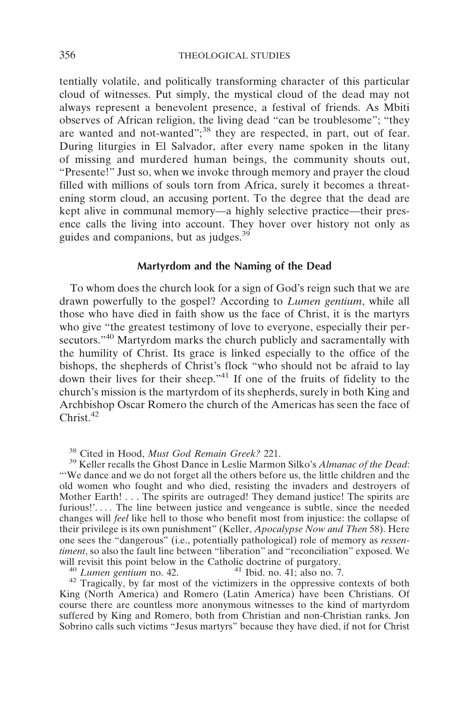tentially volatile, and politically transforming character of this particular cloud of witnesses. Put simply, the mystical cloud of the dead may not always represent a benevolent presence, a festival of friends. As Mbiti observes of African religion, the living dead "can be troublesome"; "they are wanted and not-wanted";<sup>38</sup> they are respected, in part, out of fear. During liturgies in El Salvador, after every name spoken in the litany of missing and murdered human beings, the community shouts out, "Presente!" Just so, when we invoke through memory and prayer the cloud filled with millions of souls torn from Africa, surely it becomes a threatening storm cloud, an accusing portent. To the degree that the dead are kept alive in communal memory—a highly selective practice—their presence calls the living into account. They hover over history not only as guides and companions, but as judges.<sup>39</sup>

### **Martyrdom and the Naming of the Dead**

To whom does the church look for a sign of God's reign such that we are drawn powerfully to the gospel? According to *Lumen gentium*, while all those who have died in faith show us the face of Christ, it is the martyrs who give "the greatest testimony of love to everyone, especially their persecutors."<sup>40</sup> Martyrdom marks the church publicly and sacramentally with the humility of Christ. Its grace is linked especially to the office of the bishops, the shepherds of Christ's flock "who should not be afraid to lay down their lives for their sheep."41 If one of the fruits of fidelity to the church's mission is the martyrdom of its shepherds, surely in both King and Archbishop Oscar Romero the church of the Americas has seen the face of Christ<sup>42</sup>

<sup>38</sup> Cited in Hood, *Must God Remain Greek?* 221.<br><sup>39</sup> Keller recalls the Ghost Dance in Leslie Marmon Silko's *Almanac of the Dead*: "We dance and we do not forget all the others before us, the little children and the old women who fought and who died, resisting the invaders and destroyers of Mother Earth! . . . The spirits are outraged! They demand justice! The spirits are furious!'.... The line between justice and vengeance is subtle, since the needed changes will *feel* like hell to those who benefit most from injustice: the collapse of their privilege is its own punishment" (Keller, *Apocalypse Now and Then* 58). Here one sees the "dangerous" (i.e., potentially pathological) role of memory as *ressentiment*, so also the fault line between "liberation" and "reconciliation" exposed. We will revisit this point below in the Catholic doctrine of purgatory.

<sup>40</sup> *Lumen gentium* no. 42.  $\frac{41 \text{ Ibid. no. } 41$ ; also no. 7.  $\frac{42 \text{ Tragically}}{2}$  Tragically, by far most of the victimizers in the oppressive contexts of both King (North America) and Romero (Latin America) have been Christians. Of course there are countless more anonymous witnesses to the kind of martyrdom suffered by King and Romero, both from Christian and non-Christian ranks. Jon Sobrino calls such victims "Jesus martyrs" because they have died, if not for Christ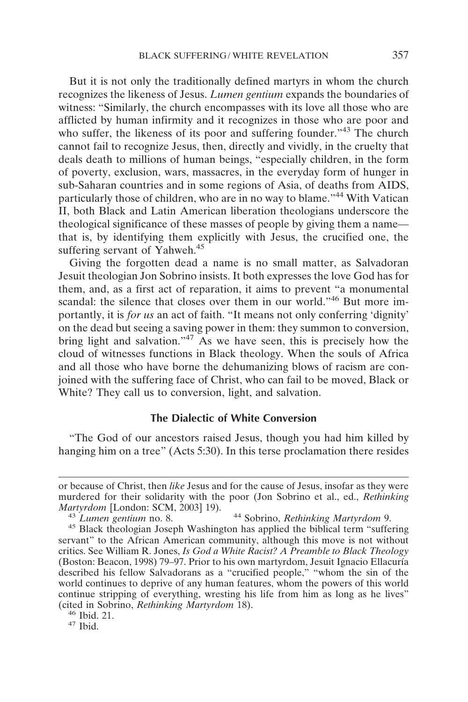But it is not only the traditionally defined martyrs in whom the church recognizes the likeness of Jesus. *Lumen gentium* expands the boundaries of witness: "Similarly, the church encompasses with its love all those who are afflicted by human infirmity and it recognizes in those who are poor and who suffer, the likeness of its poor and suffering founder."<sup>43</sup> The church cannot fail to recognize Jesus, then, directly and vividly, in the cruelty that deals death to millions of human beings, "especially children, in the form of poverty, exclusion, wars, massacres, in the everyday form of hunger in sub-Saharan countries and in some regions of Asia, of deaths from AIDS, particularly those of children, who are in no way to blame."<sup>44</sup> With Vatican II, both Black and Latin American liberation theologians underscore the theological significance of these masses of people by giving them a name that is, by identifying them explicitly with Jesus, the crucified one, the suffering servant of Yahweh.<sup>45</sup>

Giving the forgotten dead a name is no small matter, as Salvadoran Jesuit theologian Jon Sobrino insists. It both expresses the love God has for them, and, as a first act of reparation, it aims to prevent "a monumental scandal: the silence that closes over them in our world."<sup>46</sup> But more importantly, it is *for us* an act of faith. "It means not only conferring 'dignity' on the dead but seeing a saving power in them: they summon to conversion, bring light and salvation."<sup>47</sup> As we have seen, this is precisely how the cloud of witnesses functions in Black theology. When the souls of Africa and all those who have borne the dehumanizing blows of racism are conjoined with the suffering face of Christ, who can fail to be moved, Black or White? They call us to conversion, light, and salvation.

### **The Dialectic of White Conversion**

"The God of our ancestors raised Jesus, though you had him killed by hanging him on a tree" (Acts 5:30). In this terse proclamation there resides

or because of Christ, then *like* Jesus and for the cause of Jesus, insofar as they were murdered for their solidarity with the poor (Jon Sobrino et al., ed., *Rethinking*

<sup>&</sup>lt;sup>43</sup> *Lumen gentium* no. 8. <sup>44</sup> Sobrino, *Rethinking Martyrdom* 9.<br><sup>45</sup> Black theologian Joseph Washington has applied the biblical term "suffering" servant" to the African American community, although this move is not without critics. See William R. Jones, *Is God a White Racist? A Preamble to Black Theology* (Boston: Beacon, 1998) 79–97. Prior to his own martyrdom, Jesuit Ignacio Ellacuría described his fellow Salvadorans as a "crucified people," "whom the sin of the world continues to deprive of any human features, whom the powers of this world continue stripping of everything, wresting his life from him as long as he lives" (cited in Sobrino, *Rethinking Martyrdom* 18). <sup>46</sup> Ibid. 21. <sup>47</sup> Ibid.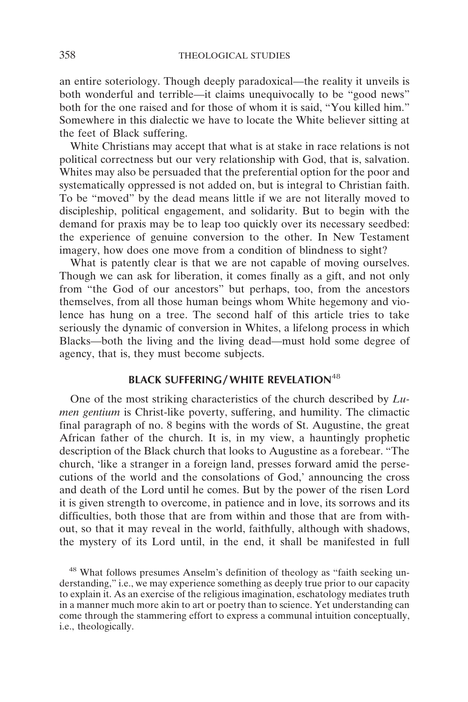an entire soteriology. Though deeply paradoxical—the reality it unveils is both wonderful and terrible—it claims unequivocally to be "good news" both for the one raised and for those of whom it is said, "You killed him." Somewhere in this dialectic we have to locate the White believer sitting at the feet of Black suffering.

White Christians may accept that what is at stake in race relations is not political correctness but our very relationship with God, that is, salvation. Whites may also be persuaded that the preferential option for the poor and systematically oppressed is not added on, but is integral to Christian faith. To be "moved" by the dead means little if we are not literally moved to discipleship, political engagement, and solidarity. But to begin with the demand for praxis may be to leap too quickly over its necessary seedbed: the experience of genuine conversion to the other. In New Testament imagery, how does one move from a condition of blindness to sight?

What is patently clear is that we are not capable of moving ourselves. Though we can ask for liberation, it comes finally as a gift, and not only from "the God of our ancestors" but perhaps, too, from the ancestors themselves, from all those human beings whom White hegemony and violence has hung on a tree. The second half of this article tries to take seriously the dynamic of conversion in Whites, a lifelong process in which Blacks—both the living and the living dead—must hold some degree of agency, that is, they must become subjects.

#### **BLACK SUFFERING/ WHITE REVELATION**<sup>48</sup>

One of the most striking characteristics of the church described by *Lumen gentium* is Christ-like poverty, suffering, and humility. The climactic final paragraph of no. 8 begins with the words of St. Augustine, the great African father of the church. It is, in my view, a hauntingly prophetic description of the Black church that looks to Augustine as a forebear. "The church, 'like a stranger in a foreign land, presses forward amid the persecutions of the world and the consolations of God,' announcing the cross and death of the Lord until he comes. But by the power of the risen Lord it is given strength to overcome, in patience and in love, its sorrows and its difficulties, both those that are from within and those that are from without, so that it may reveal in the world, faithfully, although with shadows, the mystery of its Lord until, in the end, it shall be manifested in full

<sup>48</sup> What follows presumes Anselm's definition of theology as "faith seeking understanding," i.e., we may experience something as deeply true prior to our capacity to explain it. As an exercise of the religious imagination, eschatology mediates truth in a manner much more akin to art or poetry than to science. Yet understanding can come through the stammering effort to express a communal intuition conceptually, i.e., theologically.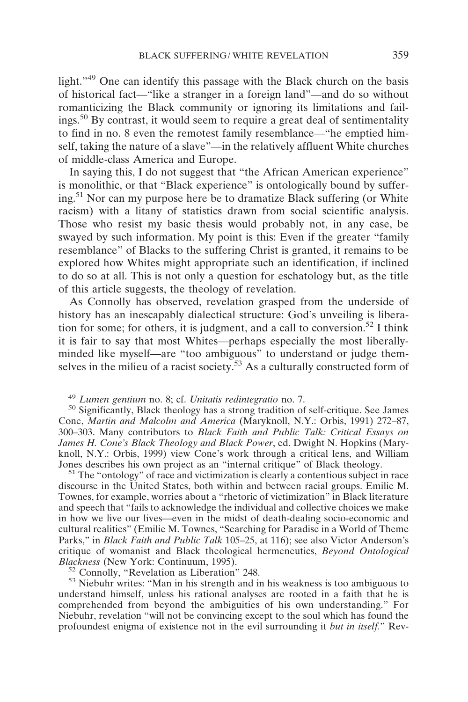light."<sup>49</sup> One can identify this passage with the Black church on the basis of historical fact—"like a stranger in a foreign land"*—*and do so without romanticizing the Black community or ignoring its limitations and failings.<sup>50</sup> By contrast, it would seem to require a great deal of sentimentality to find in no. 8 even the remotest family resemblance—"he emptied himself, taking the nature of a slave"—in the relatively affluent White churches of middle-class America and Europe.

In saying this, I do not suggest that "the African American experience" is monolithic, or that "Black experience" is ontologically bound by suffering.51 Nor can my purpose here be to dramatize Black suffering (or White racism) with a litany of statistics drawn from social scientific analysis. Those who resist my basic thesis would probably not, in any case, be swayed by such information. My point is this: Even if the greater "family resemblance" of Blacks to the suffering Christ is granted, it remains to be explored how Whites might appropriate such an identification, if inclined to do so at all. This is not only a question for eschatology but, as the title of this article suggests, the theology of revelation.

As Connolly has observed, revelation grasped from the underside of history has an inescapably dialectical structure: God's unveiling is liberation for some; for others, it is judgment, and a call to conversion.<sup>52</sup> I think it is fair to say that most Whites—perhaps especially the most liberallyminded like myself—are "too ambiguous" to understand or judge themselves in the milieu of a racist society.<sup>53</sup> As a culturally constructed form of

<sup>49</sup> *Lumen gentium* no. 8; cf. *Unitatis redintegratio* no. 7.<br><sup>50</sup> Significantly, Black theology has a strong tradition of self-critique. See James Cone, *Martin and Malcolm and America* (Maryknoll, N.Y.: Orbis, 1991) 272–87, 300–303. Many contributors to *Black Faith and Public Talk: Critical Essays on James H. Cone's Black Theology and Black Power*, ed. Dwight N. Hopkins (Maryknoll, N.Y.: Orbis, 1999) view Cone's work through a critical lens, and William Jones describes his own project as an "internal critique" of Black theology.

 $51$  The "ontology" of race and victimization is clearly a contentious subject in race discourse in the United States, both within and between racial groups. Emilie M. Townes, for example, worries about a "rhetoric of victimization" in Black literature and speech that "fails to acknowledge the individual and collective choices we make in how we live our lives—even in the midst of death-dealing socio-economic and cultural realities" (Emilie M. Townes, "Searching for Paradise in a World of Theme Parks," in *Black Faith and Public Talk* 105–25, at 116); see also Victor Anderson's critique of womanist and Black theological hermeneutics, *Beyond Ontological*

<sup>52</sup> Connolly, "Revelation as Liberation" 248.<br><sup>53</sup> Niebuhr writes: "Man in his strength and in his weakness is too ambiguous to understand himself, unless his rational analyses are rooted in a faith that he is comprehended from beyond the ambiguities of his own understanding." For Niebuhr, revelation "will not be convincing except to the soul which has found the profoundest enigma of existence not in the evil surrounding it *but in itself.*" Rev-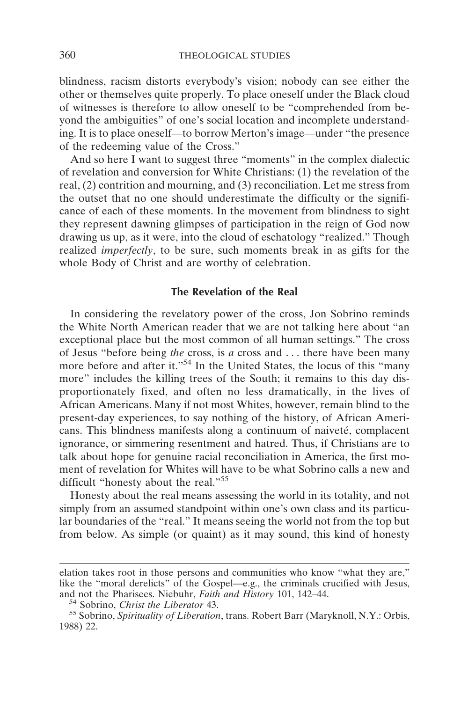blindness, racism distorts everybody's vision; nobody can see either the other or themselves quite properly. To place oneself under the Black cloud of witnesses is therefore to allow oneself to be "comprehended from beyond the ambiguities" of one's social location and incomplete understanding. It is to place oneself—to borrow Merton's image—under "the presence of the redeeming value of the Cross."

And so here I want to suggest three "moments" in the complex dialectic of revelation and conversion for White Christians: (1) the revelation of the real, (2) contrition and mourning, and (3) reconciliation. Let me stress from the outset that no one should underestimate the difficulty or the significance of each of these moments. In the movement from blindness to sight they represent dawning glimpses of participation in the reign of God now drawing us up, as it were, into the cloud of eschatology "realized." Though realized *imperfectly*, to be sure, such moments break in as gifts for the whole Body of Christ and are worthy of celebration.

## **The Revelation of the Real**

In considering the revelatory power of the cross, Jon Sobrino reminds the White North American reader that we are not talking here about "an exceptional place but the most common of all human settings." The cross of Jesus "before being *the* cross, is *a* cross and . . . there have been many more before and after it."<sup>54</sup> In the United States, the locus of this "many" more" includes the killing trees of the South; it remains to this day disproportionately fixed, and often no less dramatically, in the lives of African Americans. Many if not most Whites, however, remain blind to the present-day experiences, to say nothing of the history, of African Americans. This blindness manifests along a continuum of naiveté, complacent ignorance, or simmering resentment and hatred. Thus, if Christians are to talk about hope for genuine racial reconciliation in America, the first moment of revelation for Whites will have to be what Sobrino calls a new and difficult "honesty about the real."<sup>55</sup>

Honesty about the real means assessing the world in its totality, and not simply from an assumed standpoint within one's own class and its particular boundaries of the "real." It means seeing the world not from the top but from below. As simple (or quaint) as it may sound, this kind of honesty

elation takes root in those persons and communities who know "what they are," like the "moral derelicts" of the Gospel—e.g., the criminals crucified with Jesus, and not the Pharisees. Niebuhr, *Faith and History* 101, 142–44.

<sup>&</sup>lt;sup>54</sup> Sobrino, *Christ the Liberator* 43.<br><sup>55</sup> Sobrino, *Spirituality of Liberation*, trans. Robert Barr (Maryknoll, N.Y.: Orbis, 1988) 22.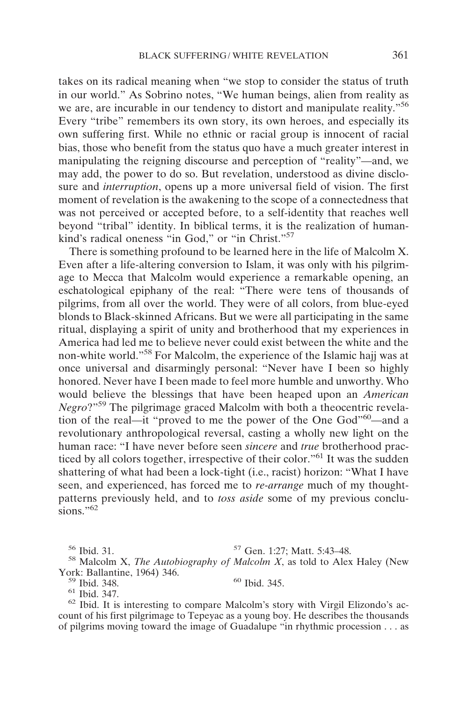takes on its radical meaning when "we stop to consider the status of truth in our world." As Sobrino notes, "We human beings, alien from reality as we are, are incurable in our tendency to distort and manipulate reality."<sup>56</sup> Every "tribe" remembers its own story, its own heroes, and especially its own suffering first. While no ethnic or racial group is innocent of racial bias, those who benefit from the status quo have a much greater interest in manipulating the reigning discourse and perception of "reality"—and, we may add, the power to do so. But revelation, understood as divine disclosure and *interruption*, opens up a more universal field of vision. The first moment of revelation is the awakening to the scope of a connectedness that was not perceived or accepted before, to a self-identity that reaches well beyond "tribal" identity. In biblical terms, it is the realization of humankind's radical oneness "in God," or "in Christ."57

There is something profound to be learned here in the life of Malcolm X. Even after a life-altering conversion to Islam, it was only with his pilgrimage to Mecca that Malcolm would experience a remarkable opening, an eschatological epiphany of the real: "There were tens of thousands of pilgrims, from all over the world. They were of all colors, from blue-eyed blonds to Black-skinned Africans. But we were all participating in the same ritual, displaying a spirit of unity and brotherhood that my experiences in America had led me to believe never could exist between the white and the non-white world."<sup>58</sup> For Malcolm, the experience of the Islamic hajj was at once universal and disarmingly personal: "Never have I been so highly honored. Never have I been made to feel more humble and unworthy. Who would believe the blessings that have been heaped upon an *American Negro*?"<sup>59</sup> The pilgrimage graced Malcolm with both a theocentric revelation of the real—it "proved to me the power of the One God"<sup>60</sup>—and a revolutionary anthropological reversal, casting a wholly new light on the human race: "I have never before seen *sincere* and *true* brotherhood practiced by all colors together, irrespective of their color."<sup>61</sup> It was the sudden shattering of what had been a lock-tight (i.e., racist) horizon: "What I have seen, and experienced, has forced me to *re-arrange* much of my thoughtpatterns previously held, and to *toss aside* some of my previous conclu- $\sin$   $\frac{1}{2}$   $\frac{1}{2}$   $\frac{1}{2}$   $\frac{1}{2}$   $\frac{1}{2}$   $\frac{1}{2}$   $\frac{1}{2}$   $\frac{1}{2}$   $\frac{1}{2}$   $\frac{1}{2}$   $\frac{1}{2}$   $\frac{1}{2}$   $\frac{1}{2}$   $\frac{1}{2}$   $\frac{1}{2}$   $\frac{1}{2}$   $\frac{1}{2}$   $\frac{1}{2}$   $\frac{1}{2}$   $\frac{1}{2}$   $\frac{1}{2}$   $\frac{1}{$ 

<sup>56</sup> Ibid. 31. <sup>57</sup> Gen. 1:27; Matt. 5:43–48. <sup>58</sup> Malcolm X, *The Autobiography of Malcolm X*, as told to Alex Haley (New

<sup>59</sup> Ibid. 348. <sup>61</sup> Ibid. 345. <sup>60</sup> Ibid. 345. <sup>62</sup> Ibid. 347. <sup>62</sup> Ibid. It is interesting to compare Malcolm's story with Virgil Elizondo's account of his first pilgrimage to Tepeyac as a young boy. He describes the thousands of pilgrims moving toward the image of Guadalupe "in rhythmic procession . . . as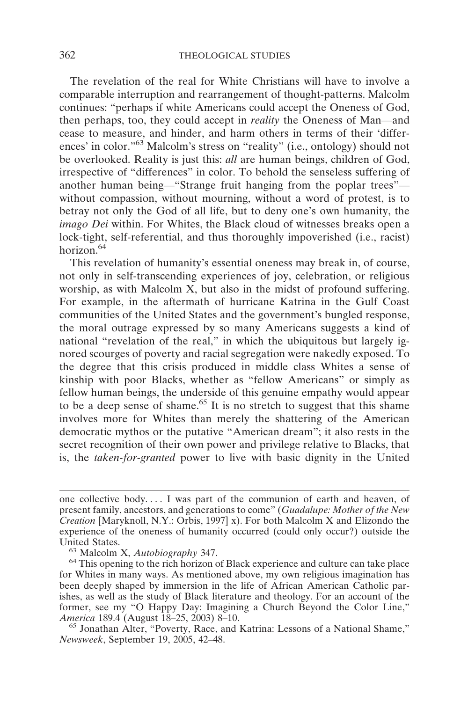The revelation of the real for White Christians will have to involve a comparable interruption and rearrangement of thought-patterns. Malcolm continues: "perhaps if white Americans could accept the Oneness of God, then perhaps, too, they could accept in *reality* the Oneness of Man—and cease to measure, and hinder, and harm others in terms of their 'differences' in color."63 Malcolm's stress on "reality" (i.e., ontology) should not be overlooked. Reality is just this: *all* are human beings, children of God, irrespective of "differences" in color. To behold the senseless suffering of another human being—"Strange fruit hanging from the poplar trees" without compassion, without mourning, without a word of protest, is to betray not only the God of all life, but to deny one's own humanity, the *imago Dei* within. For Whites, the Black cloud of witnesses breaks open a lock-tight, self-referential, and thus thoroughly impoverished (i.e., racist) horizon.64

This revelation of humanity's essential oneness may break in, of course, not only in self-transcending experiences of joy, celebration, or religious worship, as with Malcolm X, but also in the midst of profound suffering. For example, in the aftermath of hurricane Katrina in the Gulf Coast communities of the United States and the government's bungled response, the moral outrage expressed by so many Americans suggests a kind of national "revelation of the real," in which the ubiquitous but largely ignored scourges of poverty and racial segregation were nakedly exposed. To the degree that this crisis produced in middle class Whites a sense of kinship with poor Blacks, whether as "fellow Americans" or simply as fellow human beings, the underside of this genuine empathy would appear to be a deep sense of shame.<sup>65</sup> It is no stretch to suggest that this shame involves more for Whites than merely the shattering of the American democratic mythos or the putative "American dream"; it also rests in the secret recognition of their own power and privilege relative to Blacks, that is, the *taken-for-granted* power to live with basic dignity in the United

one collective body. . . . I was part of the communion of earth and heaven, of present family, ancestors, and generations to come" (*Guadalupe: Mother of the New Creation* [Maryknoll, N.Y.: Orbis, 1997] x). For both Malcolm X and Elizondo the experience of the oneness of humanity occurred (could only occur?) outside the

<sup>&</sup>lt;sup>63</sup> Malcolm X, *Autobiography* 347. 64 This opening to the rich horizon of Black experience and culture can take place for Whites in many ways. As mentioned above, my own religious imagination has been deeply shaped by immersion in the life of African American Catholic parishes, as well as the study of Black literature and theology. For an account of the former, see my "O Happy Day: Imagining a Church Beyond the Color Line,"

<sup>&</sup>lt;sup>65</sup> Jonathan Alter, "Poverty, Race, and Katrina: Lessons of a National Shame," *Newsweek*, September 19, 2005, 42–48.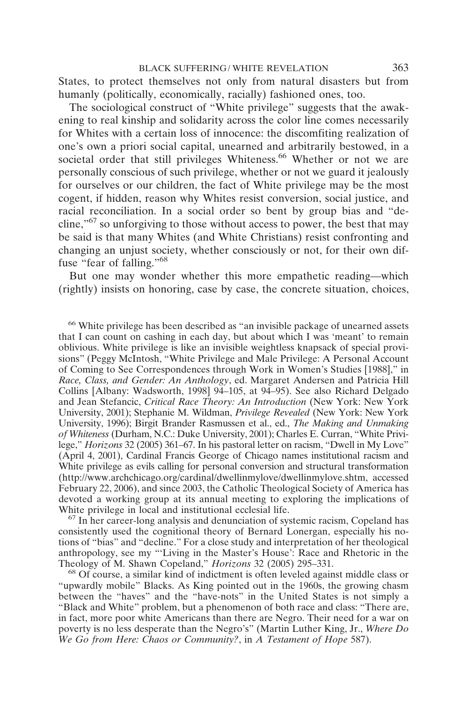#### BLACK SUFFERING / WHITE REVELATION 363

States, to protect themselves not only from natural disasters but from humanly (politically, economically, racially) fashioned ones, too.

The sociological construct of "White privilege" suggests that the awakening to real kinship and solidarity across the color line comes necessarily for Whites with a certain loss of innocence: the discomfiting realization of one's own a priori social capital, unearned and arbitrarily bestowed, in a societal order that still privileges Whiteness.<sup>66</sup> Whether or not we are personally conscious of such privilege, whether or not we guard it jealously for ourselves or our children, the fact of White privilege may be the most cogent, if hidden, reason why Whites resist conversion, social justice, and racial reconciliation. In a social order so bent by group bias and "decline,"67 so unforgiving to those without access to power, the best that may be said is that many Whites (and White Christians) resist confronting and changing an unjust society, whether consciously or not, for their own diffuse "fear of falling."<sup>68</sup>

But one may wonder whether this more empathetic reading—which (rightly) insists on honoring, case by case, the concrete situation, choices,

<sup>66</sup> White privilege has been described as "an invisible package of unearned assets that I can count on cashing in each day, but about which I was 'meant' to remain oblivious. White privilege is like an invisible weightless knapsack of special provisions" (Peggy McIntosh, "White Privilege and Male Privilege: A Personal Account of Coming to See Correspondences through Work in Women's Studies [1988]," in *Race, Class, and Gender: An Anthology*, ed. Margaret Andersen and Patricia Hill Collins [Albany: Wadsworth, 1998] 94–105, at 94–95). See also Richard Delgado and Jean Stefancic, *Critical Race Theory: An Introduction* (New York: New York University, 2001); Stephanie M. Wildman, *Privilege Revealed* (New York: New York University, 1996); Birgit Brander Rasmussen et al., ed., *The Making and Unmaking of Whiteness* (Durham, N.C.: Duke University, 2001); Charles E. Curran, "White Privilege," *Horizons* 32 (2005) 361–67. In his pastoral letter on racism, "Dwell in My Love" (April 4, 2001), Cardinal Francis George of Chicago names institutional racism and White privilege as evils calling for personal conversion and structural transformation (http://www.archchicago.org/cardinal/dwellinmylove/dwellinmylove.shtm, accessed February 22, 2006), and since 2003, the Catholic Theological Society of America has devoted a working group at its annual meeting to exploring the implications of White privilege in local and institutional ecclesial life.

 $67$  In her career-long analysis and denunciation of systemic racism, Copeland has consistently used the cognitional theory of Bernard Lonergan, especially his notions of "bias" and "decline." For a close study and interpretation of her theological anthropology, see my "'Living in the Master's House': Race and Rhetoric in the Theology of M. Shawn Copeland," *Horizons* 32 (2005) 295–331.

<sup>68</sup> Of course, a similar kind of indictment is often leveled against middle class or "upwardly mobile" Blacks. As King pointed out in the 1960s, the growing chasm between the "haves" and the "have-nots" in the United States is not simply a "Black and White" problem, but a phenomenon of both race and class: "There are, in fact, more poor white Americans than there are Negro. Their need for a war on poverty is no less desperate than the Negro's" (Martin Luther King, Jr., *Where Do We Go from Here: Chaos or Community?*, in *A Testament of Hope* 587).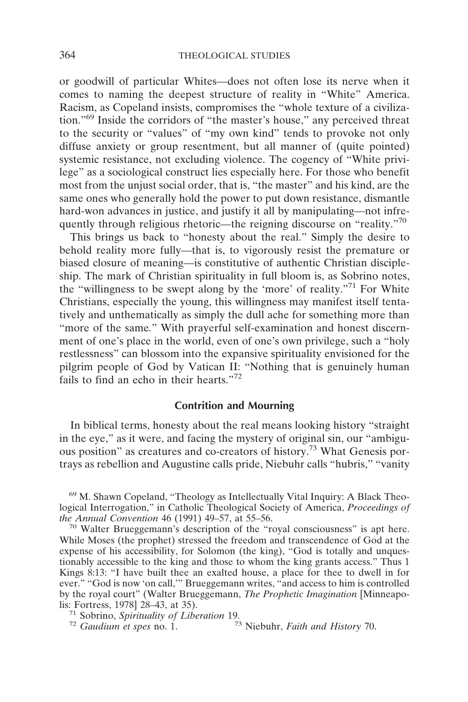or goodwill of particular Whites—does not often lose its nerve when it comes to naming the deepest structure of reality in "White" America. Racism, as Copeland insists, compromises the "whole texture of a civilization."69 Inside the corridors of "the master's house," any perceived threat to the security or "values" of "my own kind" tends to provoke not only diffuse anxiety or group resentment, but all manner of (quite pointed) systemic resistance, not excluding violence. The cogency of "White privilege" as a sociological construct lies especially here. For those who benefit most from the unjust social order, that is, "the master" and his kind, are the same ones who generally hold the power to put down resistance, dismantle hard-won advances in justice, and justify it all by manipulating—not infrequently through religious rhetoric—the reigning discourse on "reality."<sup>70</sup>

This brings us back to "honesty about the real." Simply the desire to behold reality more fully—that is, to vigorously resist the premature or biased closure of meaning—is constitutive of authentic Christian discipleship. The mark of Christian spirituality in full bloom is, as Sobrino notes, the "willingness to be swept along by the 'more' of reality."<sup>71</sup> For White Christians, especially the young, this willingness may manifest itself tentatively and unthematically as simply the dull ache for something more than "more of the same*.*" With prayerful self-examination and honest discernment of one's place in the world, even of one's own privilege, such a "holy restlessness" can blossom into the expansive spirituality envisioned for the pilgrim people of God by Vatican II: "Nothing that is genuinely human fails to find an echo in their hearts."<sup>72</sup>

### **Contrition and Mourning**

In biblical terms, honesty about the real means looking history "straight in the eye," as it were, and facing the mystery of original sin, our "ambiguous position" as creatures and co-creators of history.<sup>73</sup> What Genesis portrays as rebellion and Augustine calls pride, Niebuhr calls "hubris," "vanity

<sup>69</sup> M. Shawn Copeland, "Theology as Intellectually Vital Inquiry: A Black Theological Interrogation," in Catholic Theological Society of America, *Proceedings of*

<sup>70</sup> Walter Brueggemann's description of the "royal consciousness" is apt here. While Moses (the prophet) stressed the freedom and transcendence of God at the expense of his accessibility, for Solomon (the king), "God is totally and unquestionably accessible to the king and those to whom the king grants access." Thus 1 Kings 8:13: "I have built thee an exalted house, a place for thee to dwell in for ever." "God is now 'on call,'" Brueggemann writes, "and access to him is controlled by the royal court" (Walter Brueggemann, *The Prophetic Imagination* [Minneapolist: Fortress, 1978] 28–43, at 35).<br><sup>71</sup> Sobrino, *Spirituality of Liberation* 19.<br>1. 73 Niebuhr, *Faith and History* 70.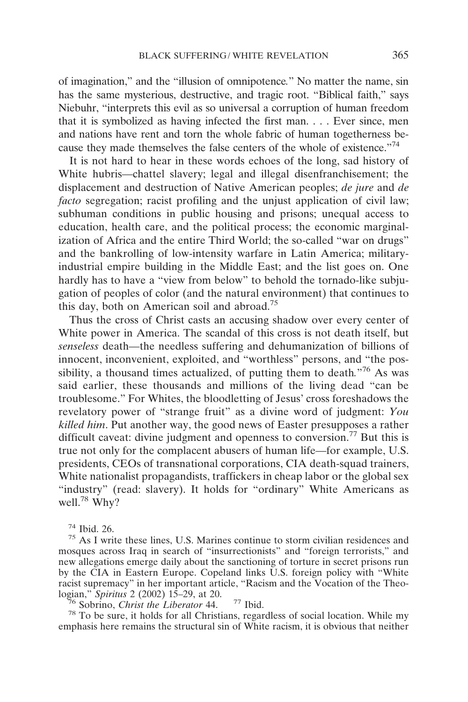of imagination," and the "illusion of omnipotence*.*" No matter the name, sin has the same mysterious, destructive, and tragic root. "Biblical faith," says Niebuhr, "interprets this evil as so universal a corruption of human freedom that it is symbolized as having infected the first man.... Ever since, men and nations have rent and torn the whole fabric of human togetherness because they made themselves the false centers of the whole of existence."74

It is not hard to hear in these words echoes of the long, sad history of White hubris—chattel slavery; legal and illegal disenfranchisement; the displacement and destruction of Native American peoples; *de jure* and *de facto* segregation; racist profiling and the unjust application of civil law; subhuman conditions in public housing and prisons; unequal access to education, health care, and the political process; the economic marginalization of Africa and the entire Third World; the so-called "war on drugs" and the bankrolling of low-intensity warfare in Latin America; militaryindustrial empire building in the Middle East; and the list goes on. One hardly has to have a "view from below" to behold the tornado-like subjugation of peoples of color (and the natural environment) that continues to this day, both on American soil and abroad.<sup>75</sup>

Thus the cross of Christ casts an accusing shadow over every center of White power in America. The scandal of this cross is not death itself, but *senseless* death—the needless suffering and dehumanization of billions of innocent, inconvenient, exploited, and "worthless" persons, and "the possibility, a thousand times actualized, of putting them to death*.*"<sup>76</sup> As was said earlier, these thousands and millions of the living dead "can be troublesome." For Whites, the bloodletting of Jesus' cross foreshadows the revelatory power of "strange fruit" as a divine word of judgment: *You killed him*. Put another way, the good news of Easter presupposes a rather difficult caveat: divine judgment and openness to conversion.<sup>77</sup> But this is true not only for the complacent abusers of human life—for example, U.S. presidents, CEOs of transnational corporations, CIA death-squad trainers, White nationalist propagandists, traffickers in cheap labor or the global sex "industry" (read: slavery). It holds for "ordinary" White Americans as well.<sup>78</sup> Why?

 $74$  Ibid. 26.  $75$  As I write these lines, U.S. Marines continue to storm civilian residences and mosques across Iraq in search of "insurrectionists" and "foreign terrorists," and new allegations emerge daily about the sanctioning of torture in secret prisons run by the CIA in Eastern Europe. Copeland links U.S. foreign policy with "White racist supremacy" in her important article, "Racism and the Vocation of the Theo-<br>logian," Spiritus 2 (2002) 15–29, at 20.

<sup>76</sup> Sobrino, *Christ the Liberator* 44. <sup>77</sup> Ibid. <sup>78</sup> To be sure, it holds for all Christians, regardless of social location. While my emphasis here remains the structural sin of White racism, it is obvious that neither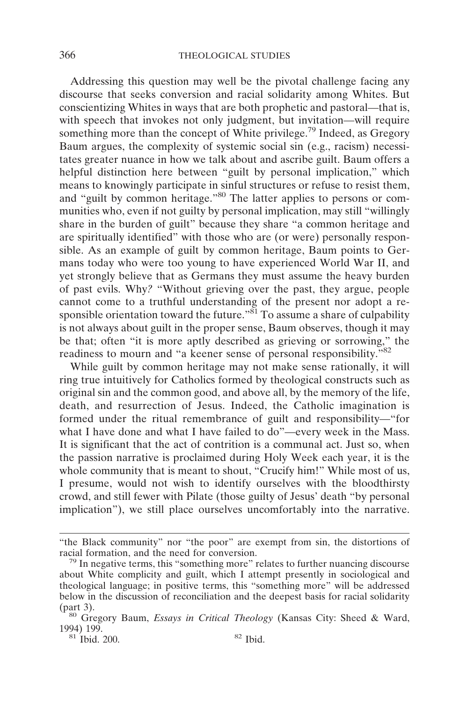Addressing this question may well be the pivotal challenge facing any discourse that seeks conversion and racial solidarity among Whites. But conscientizing Whites in ways that are both prophetic and pastoral—that is, with speech that invokes not only judgment, but invitation—will require something more than the concept of White privilege.<sup>79</sup> Indeed, as Gregory Baum argues, the complexity of systemic social sin (e.g., racism) necessitates greater nuance in how we talk about and ascribe guilt. Baum offers a helpful distinction here between "guilt by personal implication," which means to knowingly participate in sinful structures or refuse to resist them, and "guilt by common heritage."80 The latter applies to persons or communities who, even if not guilty by personal implication, may still "willingly share in the burden of guilt" because they share "a common heritage and are spiritually identified" with those who are (or were) personally responsible. As an example of guilt by common heritage, Baum points to Germans today who were too young to have experienced World War II, and yet strongly believe that as Germans they must assume the heavy burden of past evils. Why*?* "Without grieving over the past, they argue, people cannot come to a truthful understanding of the present nor adopt a responsible orientation toward the future."<sup>81</sup> To assume a share of culpability is not always about guilt in the proper sense, Baum observes, though it may be that; often "it is more aptly described as grieving or sorrowing," the readiness to mourn and "a keener sense of personal responsibility."<sup>82</sup>

While guilt by common heritage may not make sense rationally, it will ring true intuitively for Catholics formed by theological constructs such as original sin and the common good, and above all, by the memory of the life, death, and resurrection of Jesus. Indeed, the Catholic imagination is formed under the ritual remembrance of guilt and responsibility*—*"for what I have done and what I have failed to do"—every week in the Mass. It is significant that the act of contrition is a communal act. Just so, when the passion narrative is proclaimed during Holy Week each year, it is the whole community that is meant to shout, "Crucify him!" While most of us, I presume, would not wish to identify ourselves with the bloodthirsty crowd, and still fewer with Pilate (those guilty of Jesus' death "by personal implication"), we still place ourselves uncomfortably into the narrative.

<sup>&</sup>quot;the Black community" nor "the poor" are exempt from sin, the distortions of racial formation, and the need for conversion.

 $<sup>79</sup>$  In negative terms, this "something more" relates to further nuancing discourse</sup> about White complicity and guilt, which I attempt presently in sociological and theological language; in positive terms, this "something more" will be addressed below in the discussion of reconciliation and the deepest basis for racial solidarity (part 3).

<sup>&</sup>lt;sup>80</sup> Gregory Baum, *Essays in Critical Theology* (Kansas City: Sheed & Ward, 1994) 199.  $^{81}$  Ibid. 200.  $^{82}$  Ibid.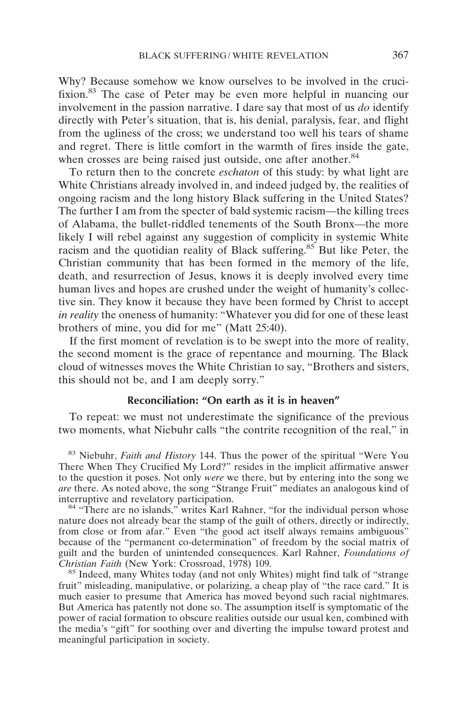Why? Because somehow we know ourselves to be involved in the crucifixion.83 The case of Peter may be even more helpful in nuancing our involvement in the passion narrative. I dare say that most of us *do* identify directly with Peter's situation, that is, his denial, paralysis, fear, and flight from the ugliness of the cross; we understand too well his tears of shame and regret. There is little comfort in the warmth of fires inside the gate, when crosses are being raised just outside, one after another.<sup>84</sup>

To return then to the concrete *eschaton* of this study: by what light are White Christians already involved in, and indeed judged by, the realities of ongoing racism and the long history Black suffering in the United States? The further I am from the specter of bald systemic racism—the killing trees of Alabama, the bullet-riddled tenements of the South Bronx—the more likely I will rebel against any suggestion of complicity in systemic White racism and the quotidian reality of Black suffering.85 But like Peter, the Christian community that has been formed in the memory of the life, death, and resurrection of Jesus, knows it is deeply involved every time human lives and hopes are crushed under the weight of humanity's collective sin. They know it because they have been formed by Christ to accept *in reality* the oneness of humanity: "Whatever you did for one of these least brothers of mine, you did for me" (Matt 25:40).

If the first moment of revelation is to be swept into the more of reality, the second moment is the grace of repentance and mourning. The Black cloud of witnesses moves the White Christian to say, "Brothers and sisters, this should not be, and I am deeply sorry."

## **Reconciliation: "On earth as it is in heaven"**

To repeat: we must not underestimate the significance of the previous two moments, what Niebuhr calls "the contrite recognition of the real," in

<sup>83</sup> Niebuhr, *Faith and History* 144. Thus the power of the spiritual "Were You There When They Crucified My Lord?" resides in the implicit affirmative answer to the question it poses. Not only *were* we there, but by entering into the song we *are* there. As noted above, the song "Strange Fruit" mediates an analogous kind of

<sup>84</sup> "There are no islands," writes Karl Rahner, "for the individual person whose nature does not already bear the stamp of the guilt of others, directly or indirectly, from close or from afar." Even "the good act itself always remains ambiguous" because of the "permanent co-determination" of freedom by the social matrix of guilt and the burden of unintended consequences. Karl Rahner, *Foundations of*

<sup>85</sup> Indeed, many Whites today (and not only Whites) might find talk of "strange" fruit" misleading, manipulative, or polarizing, a cheap play of "the race card." It is much easier to presume that America has moved beyond such racial nightmares. But America has patently not done so. The assumption itself is symptomatic of the power of racial formation to obscure realities outside our usual ken, combined with the media's "gift" for soothing over and diverting the impulse toward protest and meaningful participation in society.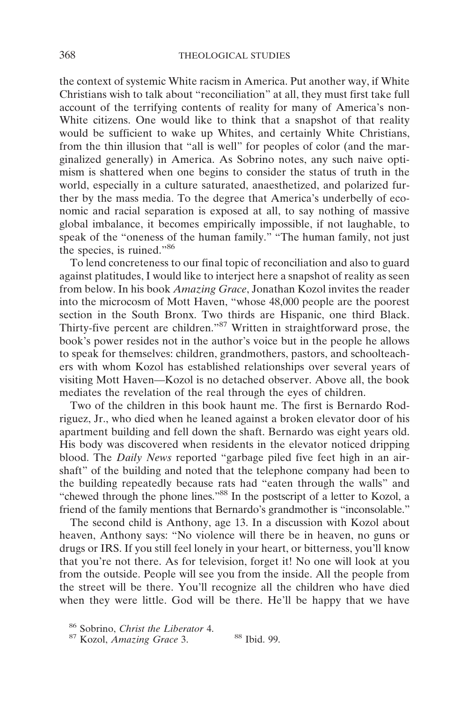the context of systemic White racism in America. Put another way, if White Christians wish to talk about "reconciliation" at all, they must first take full account of the terrifying contents of reality for many of America's non-White citizens. One would like to think that a snapshot of that reality would be sufficient to wake up Whites, and certainly White Christians, from the thin illusion that "all is well" for peoples of color (and the marginalized generally) in America. As Sobrino notes, any such naive optimism is shattered when one begins to consider the status of truth in the world, especially in a culture saturated, anaesthetized, and polarized further by the mass media. To the degree that America's underbelly of economic and racial separation is exposed at all, to say nothing of massive global imbalance, it becomes empirically impossible, if not laughable, to speak of the "oneness of the human family." "The human family, not just the species, is ruined."86

To lend concreteness to our final topic of reconciliation and also to guard against platitudes, I would like to interject here a snapshot of reality as seen from below. In his book *Amazing Grace*, Jonathan Kozol invites the reader into the microcosm of Mott Haven, "whose 48,000 people are the poorest section in the South Bronx. Two thirds are Hispanic, one third Black. Thirty-five percent are children."<sup>87</sup> Written in straightforward prose, the book's power resides not in the author's voice but in the people he allows to speak for themselves: children, grandmothers, pastors, and schoolteachers with whom Kozol has established relationships over several years of visiting Mott Haven—Kozol is no detached observer. Above all, the book mediates the revelation of the real through the eyes of children.

Two of the children in this book haunt me. The first is Bernardo Rodriguez, Jr., who died when he leaned against a broken elevator door of his apartment building and fell down the shaft. Bernardo was eight years old. His body was discovered when residents in the elevator noticed dripping blood. The *Daily News* reported "garbage piled five feet high in an airshaft" of the building and noted that the telephone company had been to the building repeatedly because rats had "eaten through the walls" and "chewed through the phone lines."88 In the postscript of a letter to Kozol, a friend of the family mentions that Bernardo's grandmother is "inconsolable."

The second child is Anthony, age 13. In a discussion with Kozol about heaven, Anthony says: "No violence will there be in heaven, no guns or drugs or IRS. If you still feel lonely in your heart, or bitterness, you'll know that you're not there. As for television, forget it! No one will look at you from the outside. People will see you from the inside. All the people from the street will be there. You'll recognize all the children who have died when they were little. God will be there. He'll be happy that we have

<sup>&</sup>lt;sup>86</sup> Sobrino, *Christ the Liberator* 4.<br><sup>87</sup> Kozol, *Amazing Grace* 3. <sup>88</sup> Ibid. 99.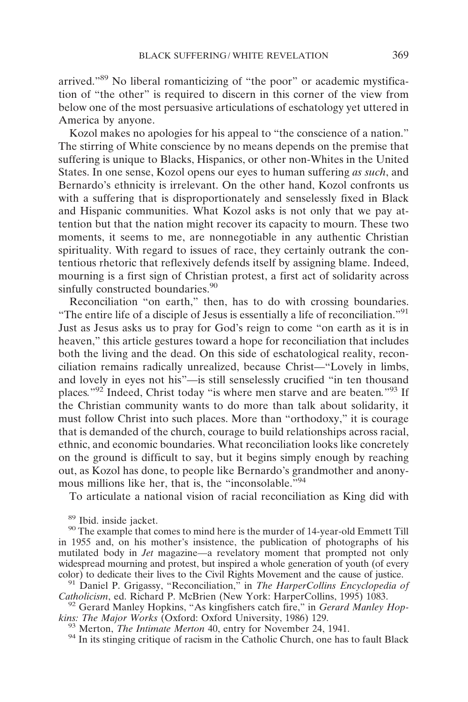arrived."89 No liberal romanticizing of "the poor" or academic mystification of "the other" is required to discern in this corner of the view from below one of the most persuasive articulations of eschatology yet uttered in America by anyone.

Kozol makes no apologies for his appeal to "the conscience of a nation." The stirring of White conscience by no means depends on the premise that suffering is unique to Blacks, Hispanics, or other non-Whites in the United States. In one sense, Kozol opens our eyes to human suffering *as such*, and Bernardo's ethnicity is irrelevant. On the other hand, Kozol confronts us with a suffering that is disproportionately and senselessly fixed in Black and Hispanic communities. What Kozol asks is not only that we pay attention but that the nation might recover its capacity to mourn. These two moments, it seems to me, are nonnegotiable in any authentic Christian spirituality. With regard to issues of race, they certainly outrank the contentious rhetoric that reflexively defends itself by assigning blame. Indeed, mourning is a first sign of Christian protest, a first act of solidarity across sinfully constructed boundaries.<sup>90</sup>

Reconciliation "on earth," then, has to do with crossing boundaries. "The entire life of a disciple of Jesus is essentially a life of reconciliation."<sup>91</sup> Just as Jesus asks us to pray for God's reign to come "on earth as it is in heaven," this article gestures toward a hope for reconciliation that includes both the living and the dead. On this side of eschatological reality, reconciliation remains radically unrealized, because Christ—"Lovely in limbs, and lovely in eyes not his"*—*is still senselessly crucified "in ten thousand places*.*"92 Indeed, Christ today "is where men starve and are beaten*.*"93 If the Christian community wants to do more than talk about solidarity, it must follow Christ into such places. More than "orthodoxy," it is courage that is demanded of the church, courage to build relationships across racial, ethnic, and economic boundaries. What reconciliation looks like concretely on the ground is difficult to say, but it begins simply enough by reaching out, as Kozol has done, to people like Bernardo's grandmother and anonymous millions like her, that is, the "inconsolable."<sup>94</sup>

To articulate a national vision of racial reconciliation as King did with

<sup>89</sup> Ibid. inside jacket.<br><sup>90</sup> The example that comes to mind here is the murder of 14-year-old Emmett Till in 1955 and, on his mother's insistence, the publication of photographs of his mutilated body in *Jet* magazine—a revelatory moment that prompted not only widespread mourning and protest, but inspired a whole generation of youth (of every color) to dedicate their lives to the Civil Rights Movement and the cause of justice.

<sup>91</sup> Daniel P. Grigassy, "Reconciliation," in *The HarperCollins Encyclopedia of Catholicism*, ed. Richard P. McBrien (New York: HarperCollins, 1995) 1083.

<sup>92</sup> Gerard Manley Hopkins, "As kingfishers catch fire," in *Gerard Manley Hop-*<br>*kins: The Major Works* (Oxford: Oxford University, 1986) 129.

<sup>93</sup> Merton, *The Intimate Merton* 40, entry for November 24, 1941.<br><sup>94</sup> In its stinging critique of racism in the Catholic Church, one has to fault Black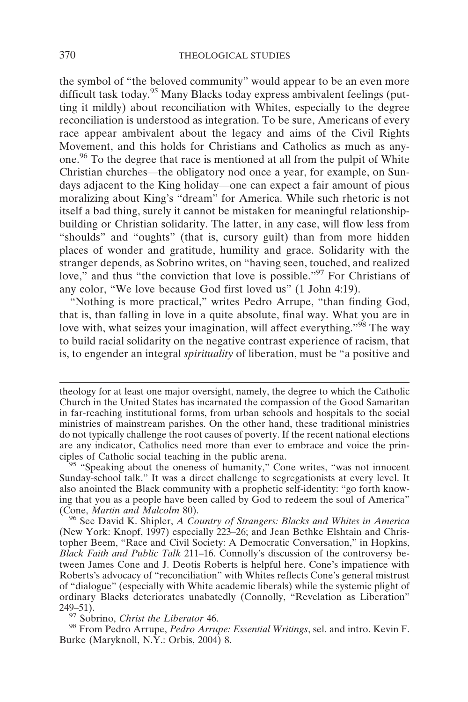the symbol of "the beloved community" would appear to be an even more difficult task today.<sup>95</sup> Many Blacks today express ambivalent feelings (putting it mildly) about reconciliation with Whites, especially to the degree reconciliation is understood as integration. To be sure, Americans of every race appear ambivalent about the legacy and aims of the Civil Rights Movement, and this holds for Christians and Catholics as much as anyone.96 To the degree that race is mentioned at all from the pulpit of White Christian churches—the obligatory nod once a year, for example, on Sundays adjacent to the King holiday—one can expect a fair amount of pious moralizing about King's "dream" for America. While such rhetoric is not itself a bad thing, surely it cannot be mistaken for meaningful relationshipbuilding or Christian solidarity. The latter, in any case, will flow less from "shoulds" and "oughts" (that is, cursory guilt) than from more hidden places of wonder and gratitude, humility and grace. Solidarity with the stranger depends, as Sobrino writes, on "having seen, touched, and realized love," and thus "the conviction that love is possible."<sup>97</sup> For Christians of any color, "We love because God first loved us" (1 John 4:19).

"Nothing is more practical," writes Pedro Arrupe, "than finding God, that is, than falling in love in a quite absolute, final way. What you are in love with, what seizes your imagination, will affect everything."<sup>98</sup> The way to build racial solidarity on the negative contrast experience of racism, that is, to engender an integral *spirituality* of liberation, must be "a positive and

<sup>95</sup> "Speaking about the oneness of humanity," Cone writes, "was not innocent Sunday-school talk." It was a direct challenge to segregationists at every level. It also anointed the Black community with a prophetic self-identity: "go forth knowing that you as a people have been called by God to redeem the soul of America" (Cone, *Martin and Malcolm* 80).

<sup>96</sup> See David K. Shipler, *A Country of Strangers: Blacks and Whites in America* (New York: Knopf, 1997) especially 223–26; and Jean Bethke Elshtain and Christopher Beem, "Race and Civil Society: A Democratic Conversation," in Hopkins, *Black Faith and Public Talk* 211–16. Connolly's discussion of the controversy between James Cone and J. Deotis Roberts is helpful here. Cone's impatience with Roberts's advocacy of "reconciliation" with Whites reflects Cone's general mistrust of "dialogue" (especially with White academic liberals) while the systemic plight of ordinary Blacks deteriorates unabatedly (Connolly, "Revelation as Liberation"

<sup>97</sup> Sobrino, *Christ the Liberator* 46.<br><sup>98</sup> From Pedro Arrupe, *Pedro Arrupe: Essential Writings*, sel. and intro. Kevin F. Burke (Maryknoll, N.Y.: Orbis, 2004) 8.

theology for at least one major oversight, namely, the degree to which the Catholic Church in the United States has incarnated the compassion of the Good Samaritan in far-reaching institutional forms, from urban schools and hospitals to the social ministries of mainstream parishes. On the other hand, these traditional ministries do not typically challenge the root causes of poverty. If the recent national elections are any indicator, Catholics need more than ever to embrace and voice the prin-<br>ciples of Catholic social teaching in the public arena.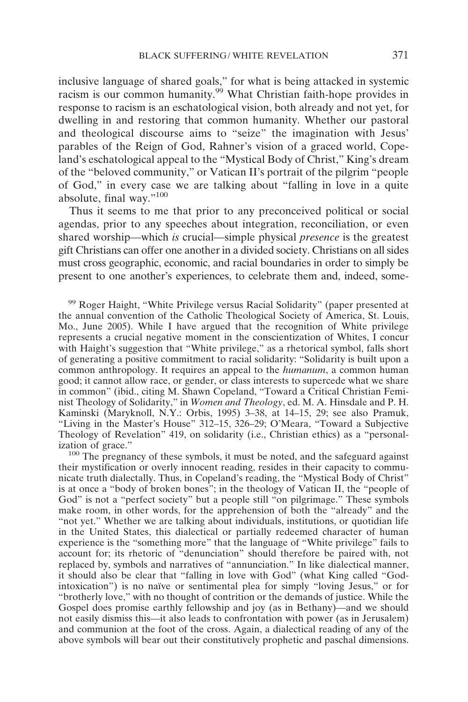inclusive language of shared goals," for what is being attacked in systemic racism is our common humanity.<sup>99</sup> What Christian faith-hope provides in response to racism is an eschatological vision, both already and not yet, for dwelling in and restoring that common humanity. Whether our pastoral and theological discourse aims to "seize" the imagination with Jesus' parables of the Reign of God, Rahner's vision of a graced world, Copeland's eschatological appeal to the "Mystical Body of Christ," King's dream of the "beloved community," or Vatican II's portrait of the pilgrim "people of God," in every case we are talking about "falling in love in a quite absolute, final way."<sup>100</sup>

Thus it seems to me that prior to any preconceived political or social agendas, prior to any speeches about integration, reconciliation, or even shared worship—which *is* crucial—simple physical *presence* is the greatest gift Christians can offer one another in a divided society. Christians on all sides must cross geographic, economic, and racial boundaries in order to simply be present to one another's experiences, to celebrate them and, indeed, some-

<sup>99</sup> Roger Haight, "White Privilege versus Racial Solidarity" (paper presented at the annual convention of the Catholic Theological Society of America, St. Louis, Mo., June 2005). While I have argued that the recognition of White privilege represents a crucial negative moment in the conscientization of Whites, I concur with Haight's suggestion that "White privilege," as a rhetorical symbol, falls short of generating a positive commitment to racial solidarity: "Solidarity is built upon a common anthropology. It requires an appeal to the *humanum*, a common human good; it cannot allow race, or gender, or class interests to supercede what we share in common" (ibid., citing M. Shawn Copeland, "Toward a Critical Christian Feminist Theology of Solidarity," in *Women and Theology*, ed. M. A. Hinsdale and P. H. Kaminski (Maryknoll, N.Y.: Orbis, 1995) 3–38, at 14–15, 29; see also Pramuk, "Living in the Master's House" 312–15, 326–29; O'Meara, "Toward a Subjective Theology of Revelation" 419, on solidarity (i.e., Christian ethics) as a "personal-

 $\frac{100}{100}$  The pregnancy of these symbols, it must be noted, and the safeguard against their mystification or overly innocent reading, resides in their capacity to communicate truth dialectally. Thus, in Copeland's reading, the "Mystical Body of Christ" is at once a "body of broken bones"; in the theology of Vatican II, the "people of God" is not a "perfect society" but a people still "on pilgrimage." These symbols make room, in other words, for the apprehension of both the "already" and the "not yet." Whether we are talking about individuals, institutions, or quotidian life in the United States, this dialectical or partially redeemed character of human experience is the "something more" that the language of "White privilege" fails to account for; its rhetoric of "denunciation" should therefore be paired with, not replaced by, symbols and narratives of "annunciation." In like dialectical manner, it should also be clear that "falling in love with God" (what King called "Godintoxication") is no naïve or sentimental plea for simply "loving Jesus," or for "brotherly love," with no thought of contrition or the demands of justice. While the Gospel does promise earthly fellowship and joy (as in Bethany)—and we should not easily dismiss this—it also leads to confrontation with power (as in Jerusalem) and communion at the foot of the cross. Again, a dialectical reading of any of the above symbols will bear out their constitutively prophetic and paschal dimensions.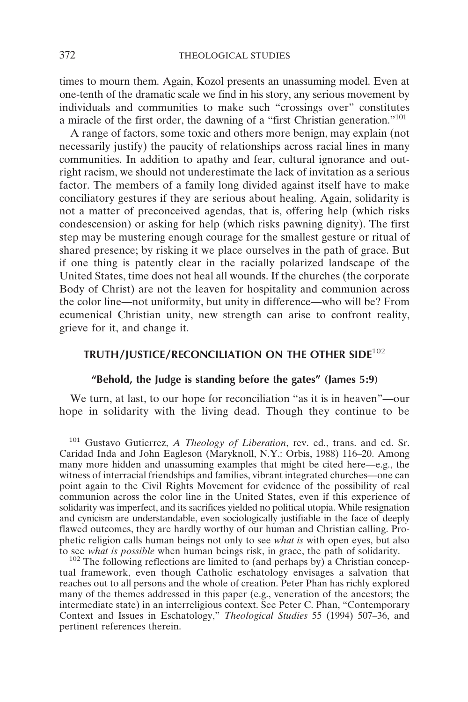times to mourn them. Again, Kozol presents an unassuming model. Even at one-tenth of the dramatic scale we find in his story, any serious movement by individuals and communities to make such "crossings over" constitutes a miracle of the first order, the dawning of a "first Christian generation."101

A range of factors, some toxic and others more benign, may explain (not necessarily justify) the paucity of relationships across racial lines in many communities. In addition to apathy and fear, cultural ignorance and outright racism, we should not underestimate the lack of invitation as a serious factor. The members of a family long divided against itself have to make conciliatory gestures if they are serious about healing. Again, solidarity is not a matter of preconceived agendas, that is, offering help (which risks condescension) or asking for help (which risks pawning dignity). The first step may be mustering enough courage for the smallest gesture or ritual of shared presence; by risking it we place ourselves in the path of grace. But if one thing is patently clear in the racially polarized landscape of the United States, time does not heal all wounds. If the churches (the corporate Body of Christ) are not the leaven for hospitality and communion across the color line—not uniformity, but unity in difference—who will be? From ecumenical Christian unity, new strength can arise to confront reality, grieve for it, and change it.

# **TRUTH/JUSTICE/RECONCILIATION ON THE OTHER SIDE**<sup>102</sup>

## **"Behold, the Judge is standing before the gates" (James 5:9)**

We turn, at last, to our hope for reconciliation "as it is in heaven"—our hope in solidarity with the living dead. Though they continue to be

<sup>101</sup> Gustavo Gutierrez, *A Theology of Liberation*, rev. ed., trans. and ed. Sr. Caridad Inda and John Eagleson (Maryknoll, N.Y.: Orbis, 1988) 116–20. Among many more hidden and unassuming examples that might be cited here—e.g., the witness of interracial friendships and families, vibrant integrated churches—one can point again to the Civil Rights Movement for evidence of the possibility of real communion across the color line in the United States, even if this experience of solidarity was imperfect, and its sacrifices yielded no political utopia. While resignation and cynicism are understandable, even sociologically justifiable in the face of deeply flawed outcomes, they are hardly worthy of our human and Christian calling. Prophetic religion calls human beings not only to see *what is* with open eyes, but also to see *what is possible* when human beings risk, in grace, the path of solidarity.

<sup>102</sup> The following reflections are limited to (and perhaps by) a Christian conceptual framework, even though Catholic eschatology envisages a salvation that reaches out to all persons and the whole of creation. Peter Phan has richly explored many of the themes addressed in this paper (e.g., veneration of the ancestors; the intermediate state) in an interreligious context. See Peter C. Phan, "Contemporary Context and Issues in Eschatology," *Theological Studies* 55 (1994) 507–36, and pertinent references therein.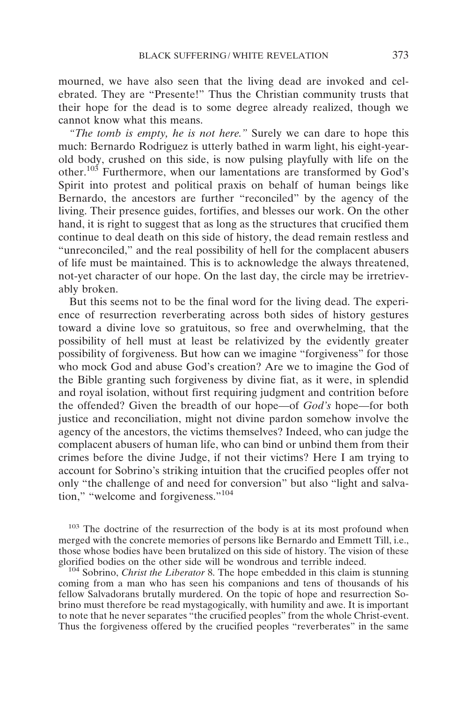mourned, we have also seen that the living dead are invoked and celebrated. They are "Presente!" Thus the Christian community trusts that their hope for the dead is to some degree already realized, though we cannot know what this means.

*"The tomb is empty, he is not here."* Surely we can dare to hope this much: Bernardo Rodriguez is utterly bathed in warm light, his eight-yearold body, crushed on this side, is now pulsing playfully with life on the other.103 Furthermore, when our lamentations are transformed by God's Spirit into protest and political praxis on behalf of human beings like Bernardo, the ancestors are further "reconciled" by the agency of the living. Their presence guides, fortifies, and blesses our work. On the other hand, it is right to suggest that as long as the structures that crucified them continue to deal death on this side of history, the dead remain restless and "unreconciled," and the real possibility of hell for the complacent abusers of life must be maintained. This is to acknowledge the always threatened, not-yet character of our hope. On the last day, the circle may be irretrievably broken.

But this seems not to be the final word for the living dead. The experience of resurrection reverberating across both sides of history gestures toward a divine love so gratuitous, so free and overwhelming, that the possibility of hell must at least be relativized by the evidently greater possibility of forgiveness. But how can we imagine "forgiveness" for those who mock God and abuse God's creation? Are we to imagine the God of the Bible granting such forgiveness by divine fiat, as it were, in splendid and royal isolation, without first requiring judgment and contrition before the offended? Given the breadth of our hope—of *God's* hope—for both justice and reconciliation, might not divine pardon somehow involve the agency of the ancestors, the victims themselves? Indeed, who can judge the complacent abusers of human life, who can bind or unbind them from their crimes before the divine Judge, if not their victims? Here I am trying to account for Sobrino's striking intuition that the crucified peoples offer not only "the challenge of and need for conversion" but also "light and salvation," "welcome and forgiveness."104

<sup>103</sup> The doctrine of the resurrection of the body is at its most profound when merged with the concrete memories of persons like Bernardo and Emmett Till, i.e., those whose bodies have been brutalized on this side of history. The vision of these glorified bodies on the other side will be wondrous and terrible indeed.

<sup>104</sup> Sobrino, *Christ the Liberator* 8. The hope embedded in this claim is stunning coming from a man who has seen his companions and tens of thousands of his fellow Salvadorans brutally murdered. On the topic of hope and resurrection Sobrino must therefore be read mystagogically, with humility and awe. It is important to note that he never separates "the crucified peoples" from the whole Christ-event. Thus the forgiveness offered by the crucified peoples "reverberates" in the same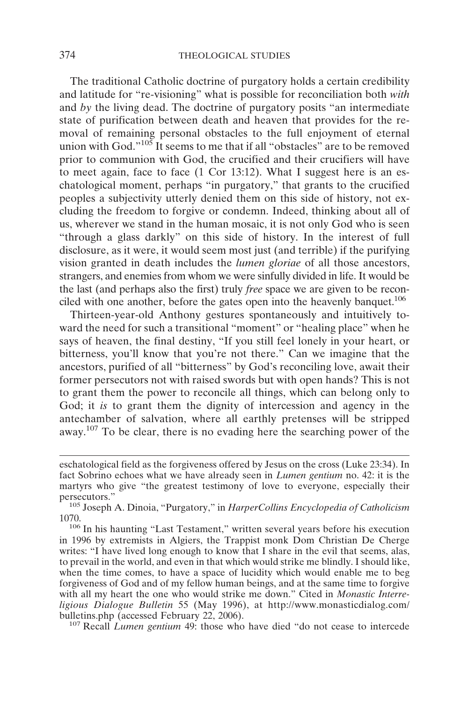The traditional Catholic doctrine of purgatory holds a certain credibility and latitude for "re-visioning" what is possible for reconciliation both *with* and *by* the living dead. The doctrine of purgatory posits "an intermediate state of purification between death and heaven that provides for the removal of remaining personal obstacles to the full enjoyment of eternal union with God." $105$  It seems to me that if all "obstacles" are to be removed prior to communion with God, the crucified and their crucifiers will have to meet again, face to face (1 Cor 13:12). What I suggest here is an eschatological moment, perhaps "in purgatory," that grants to the crucified peoples a subjectivity utterly denied them on this side of history, not excluding the freedom to forgive or condemn. Indeed, thinking about all of us, wherever we stand in the human mosaic, it is not only God who is seen "through a glass darkly" on this side of history. In the interest of full disclosure, as it were, it would seem most just (and terrible) if the purifying vision granted in death includes the *lumen gloriae* of all those ancestors, strangers, and enemies from whom we were sinfully divided in life. It would be the last (and perhaps also the first) truly *free* space we are given to be reconciled with one another, before the gates open into the heavenly banquet.<sup>106</sup>

Thirteen-year-old Anthony gestures spontaneously and intuitively toward the need for such a transitional "moment" or "healing place" when he says of heaven, the final destiny, "If you still feel lonely in your heart, or bitterness, you'll know that you're not there." Can we imagine that the ancestors, purified of all "bitterness" by God's reconciling love, await their former persecutors not with raised swords but with open hands? This is not to grant them the power to reconcile all things, which can belong only to God; it *is* to grant them the dignity of intercession and agency in the antechamber of salvation, where all earthly pretenses will be stripped away.107 To be clear, there is no evading here the searching power of the

<sup>107</sup> Recall *Lumen gentium* 49: those who have died "do not cease to intercede"

eschatological field as the forgiveness offered by Jesus on the cross (Luke 23:34). In fact Sobrino echoes what we have already seen in *Lumen gentium* no. 42: it is the martyrs who give "the greatest testimony of love to everyone, especially their

<sup>&</sup>lt;sup>105</sup> Joseph A. Dinoia, "Purgatory," in *HarperCollins Encyclopedia of Catholicism* 

<sup>1070.&</sup>lt;br><sup>106</sup> In his haunting "Last Testament," written several years before his execution in 1996 by extremists in Algiers, the Trappist monk Dom Christian De Cherge writes: "I have lived long enough to know that I share in the evil that seems, alas, to prevail in the world, and even in that which would strike me blindly. I should like, when the time comes, to have a space of lucidity which would enable me to beg forgiveness of God and of my fellow human beings, and at the same time to forgive with all my heart the one who would strike me down." Cited in *Monastic Interreligious Dialogue Bulletin* 55 (May 1996), at http://www.monasticdialog.com/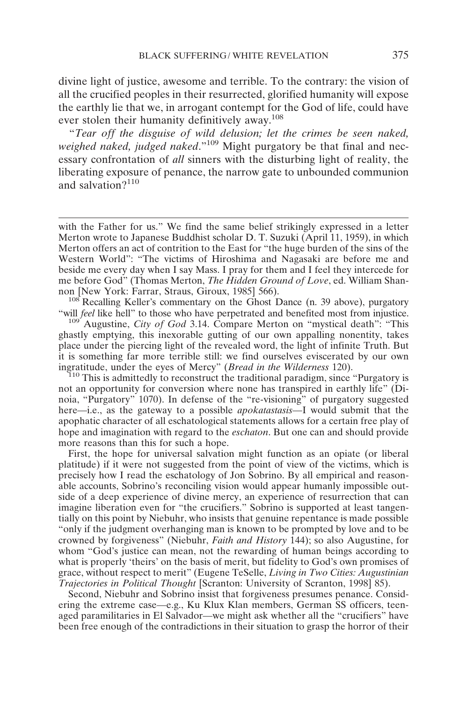divine light of justice, awesome and terrible. To the contrary: the vision of all the crucified peoples in their resurrected, glorified humanity will expose the earthly lie that we, in arrogant contempt for the God of life, could have ever stolen their humanity definitively away.<sup>108</sup>

"*Tear off the disguise of wild delusion; let the crimes be seen naked, weighed naked, judged naked*."<sup>109</sup> Might purgatory be that final and necessary confrontation of *all* sinners with the disturbing light of reality, the liberating exposure of penance, the narrow gate to unbounded communion and salvation?<sup>110</sup>

 $108$ <sup>108</sup> Recalling Keller's commentary on the Ghost Dance (n. 39 above), purgatory "will *feel* like hell" to those who have perpetrated and benefited most from injustice.

<sup>109</sup> Augustine, *City of God* 3.14. Compare Merton on "mystical death": "This ghastly emptying, this inexorable gutting of our own appalling nonentity, takes place under the piercing light of the revealed word, the light of infinite Truth. But it is something far more terrible still: we find ourselves eviscerated by our own ingratitude, under the eves of Mercy" (Bread in the Wilderness 120).

<sup>110</sup> This is admittedly to reconstruct the traditional paradigm, since "Purgatory is not an opportunity for conversion where none has transpired in earthly life" (Dinoia, "Purgatory" 1070). In defense of the "re-visioning" of purgatory suggested here—i.e., as the gateway to a possible *apokatastasis*—I would submit that the apophatic character of all eschatological statements allows for a certain free play of hope and imagination with regard to the *eschaton*. But one can and should provide more reasons than this for such a hope.

First, the hope for universal salvation might function as an opiate (or liberal platitude) if it were not suggested from the point of view of the victims, which is precisely how I read the eschatology of Jon Sobrino. By all empirical and reasonable accounts, Sobrino's reconciling vision would appear humanly impossible outside of a deep experience of divine mercy, an experience of resurrection that can imagine liberation even for "the crucifiers." Sobrino is supported at least tangentially on this point by Niebuhr, who insists that genuine repentance is made possible "only if the judgment overhanging man is known to be prompted by love and to be crowned by forgiveness" (Niebuhr, *Faith and History* 144); so also Augustine, for whom "God's justice can mean, not the rewarding of human beings according to what is properly 'theirs' on the basis of merit, but fidelity to God's own promises of grace, without respect to merit" (Eugene TeSelle, *Living in Two Cities: Augustinian Trajectories in Political Thought* [Scranton: University of Scranton, 1998] 85).

Second, Niebuhr and Sobrino insist that forgiveness presumes penance. Considering the extreme case—e.g., Ku Klux Klan members, German SS officers, teenaged paramilitaries in El Salvador—we might ask whether all the "crucifiers" have been free enough of the contradictions in their situation to grasp the horror of their

with the Father for us." We find the same belief strikingly expressed in a letter Merton wrote to Japanese Buddhist scholar D. T. Suzuki (April 11, 1959), in which Merton offers an act of contrition to the East for "the huge burden of the sins of the Western World": "The victims of Hiroshima and Nagasaki are before me and beside me every day when I say Mass. I pray for them and I feel they intercede for me before God" (Thomas Merton, *The Hidden Ground of Love*, ed. William Shan-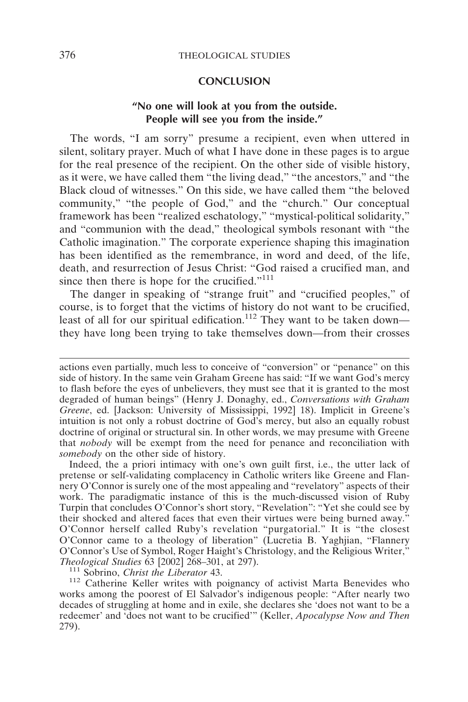#### **CONCLUSION**

## **"No one will look at you from the outside. People will see you from the inside."**

The words, "I am sorry" presume a recipient, even when uttered in silent, solitary prayer. Much of what I have done in these pages is to argue for the real presence of the recipient. On the other side of visible history, as it were, we have called them "the living dead," "the ancestors," and "the Black cloud of witnesses." On this side, we have called them "the beloved community," "the people of God," and the "church." Our conceptual framework has been "realized eschatology," "mystical-political solidarity," and "communion with the dead," theological symbols resonant with "the Catholic imagination." The corporate experience shaping this imagination has been identified as the remembrance, in word and deed, of the life, death, and resurrection of Jesus Christ: "God raised a crucified man, and since then there is hope for the crucified."<sup>111</sup>

The danger in speaking of "strange fruit" and "crucified peoples," of course, is to forget that the victims of history do not want to be crucified, least of all for our spiritual edification.<sup>112</sup> They want to be taken down they have long been trying to take themselves down—from their crosses

Indeed, the a priori intimacy with one's own guilt first, i.e., the utter lack of pretense or self-validating complacency in Catholic writers like Greene and Flannery O'Connor is surely one of the most appealing and "revelatory" aspects of their work. The paradigmatic instance of this is the much-discussed vision of Ruby Turpin that concludes O'Connor's short story, "Revelation": "Yet she could see by their shocked and altered faces that even their virtues were being burned away." O'Connor herself called Ruby's revelation "purgatorial." It is "the closest O'Connor came to a theology of liberation" (Lucretia B. Yaghjian, "Flannery O'Connor's Use of Symbol, Roger Haight's Christology, and the Religious Writer,"<br>Theological Studies 63 [2002] 268–301, at 297).

<sup>111</sup> Sobrino, *Christ the Liberator* 43.<br><sup>112</sup> Catherine Keller writes with poignancy of activist Marta Benevides who works among the poorest of El Salvador's indigenous people: "After nearly two decades of struggling at home and in exile, she declares she 'does not want to be a redeemer' and 'does not want to be crucified'" (Keller, *Apocalypse Now and Then* 279).

actions even partially, much less to conceive of "conversion" or "penance" on this side of history. In the same vein Graham Greene has said: "If we want God's mercy to flash before the eyes of unbelievers, they must see that it is granted to the most degraded of human beings" (Henry J. Donaghy, ed., *Conversations with Graham Greene*, ed. [Jackson: University of Mississippi, 1992] 18). Implicit in Greene's intuition is not only a robust doctrine of God's mercy, but also an equally robust doctrine of original or structural sin. In other words, we may presume with Greene that *nobody* will be exempt from the need for penance and reconciliation with *somebody* on the other side of history.